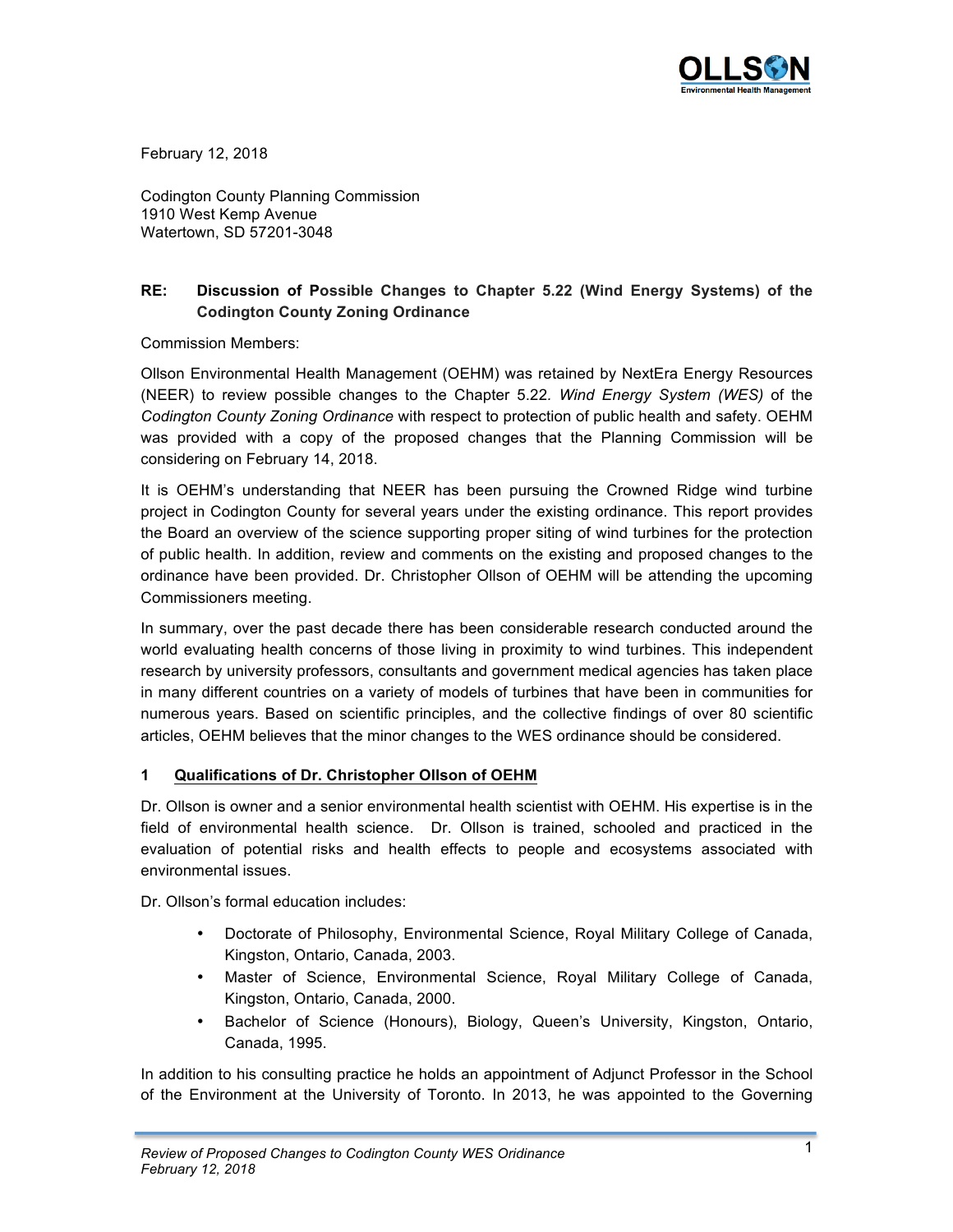

February 12, 2018

Codington County Planning Commission 1910 West Kemp Avenue Watertown, SD 57201-3048

# **RE: Discussion of Possible Changes to Chapter 5.22 (Wind Energy Systems) of the Codington County Zoning Ordinance**

Commission Members:

Ollson Environmental Health Management (OEHM) was retained by NextEra Energy Resources (NEER) to review possible changes to the Chapter 5.22*. Wind Energy System (WES)* of the *Codington County Zoning Ordinance* with respect to protection of public health and safety. OEHM was provided with a copy of the proposed changes that the Planning Commission will be considering on February 14, 2018.

It is OEHM's understanding that NEER has been pursuing the Crowned Ridge wind turbine project in Codington County for several years under the existing ordinance. This report provides the Board an overview of the science supporting proper siting of wind turbines for the protection of public health. In addition, review and comments on the existing and proposed changes to the ordinance have been provided. Dr. Christopher Ollson of OEHM will be attending the upcoming Commissioners meeting.

In summary, over the past decade there has been considerable research conducted around the world evaluating health concerns of those living in proximity to wind turbines. This independent research by university professors, consultants and government medical agencies has taken place in many different countries on a variety of models of turbines that have been in communities for numerous years. Based on scientific principles, and the collective findings of over 80 scientific articles, OEHM believes that the minor changes to the WES ordinance should be considered.

## **1 Qualifications of Dr. Christopher Ollson of OEHM**

Dr. Ollson is owner and a senior environmental health scientist with OEHM. His expertise is in the field of environmental health science. Dr. Ollson is trained, schooled and practiced in the evaluation of potential risks and health effects to people and ecosystems associated with environmental issues.

Dr. Ollson's formal education includes:

- Doctorate of Philosophy, Environmental Science, Royal Military College of Canada, Kingston, Ontario, Canada, 2003.
- Master of Science, Environmental Science, Royal Military College of Canada, Kingston, Ontario, Canada, 2000.
- Bachelor of Science (Honours), Biology, Queen's University, Kingston, Ontario, Canada, 1995.

In addition to his consulting practice he holds an appointment of Adjunct Professor in the School of the Environment at the University of Toronto. In 2013, he was appointed to the Governing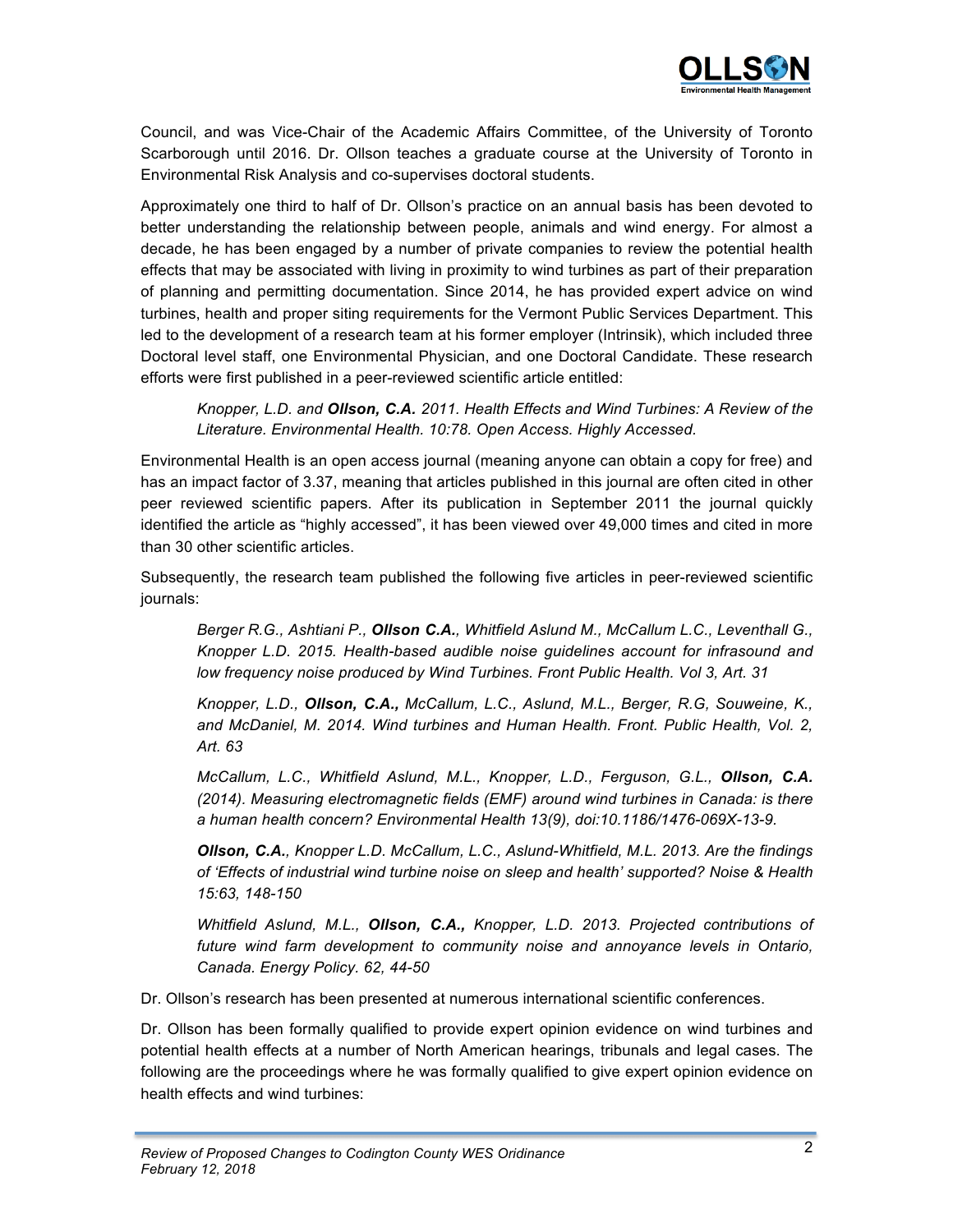

Council, and was Vice-Chair of the Academic Affairs Committee, of the University of Toronto Scarborough until 2016. Dr. Ollson teaches a graduate course at the University of Toronto in Environmental Risk Analysis and co-supervises doctoral students.

Approximately one third to half of Dr. Ollson's practice on an annual basis has been devoted to better understanding the relationship between people, animals and wind energy. For almost a decade, he has been engaged by a number of private companies to review the potential health effects that may be associated with living in proximity to wind turbines as part of their preparation of planning and permitting documentation. Since 2014, he has provided expert advice on wind turbines, health and proper siting requirements for the Vermont Public Services Department. This led to the development of a research team at his former employer (Intrinsik), which included three Doctoral level staff, one Environmental Physician, and one Doctoral Candidate. These research efforts were first published in a peer-reviewed scientific article entitled:

*Knopper, L.D. and Ollson, C.A. 2011. Health Effects and Wind Turbines: A Review of the Literature. Environmental Health. 10:78. Open Access. Highly Accessed.*

Environmental Health is an open access journal (meaning anyone can obtain a copy for free) and has an impact factor of 3.37, meaning that articles published in this journal are often cited in other peer reviewed scientific papers. After its publication in September 2011 the journal quickly identified the article as "highly accessed", it has been viewed over 49,000 times and cited in more than 30 other scientific articles.

Subsequently, the research team published the following five articles in peer-reviewed scientific journals:

*Berger R.G., Ashtiani P., Ollson C.A., Whitfield Aslund M., McCallum L.C., Leventhall G., Knopper L.D. 2015. Health-based audible noise guidelines account for infrasound and low frequency noise produced by Wind Turbines. Front Public Health. Vol 3, Art. 31* 

*Knopper, L.D., Ollson, C.A., McCallum, L.C., Aslund, M.L., Berger, R.G, Souweine, K., and McDaniel, M. 2014. Wind turbines and Human Health. Front. Public Health, Vol. 2, Art. 63*

*McCallum, L.C., Whitfield Aslund, M.L., Knopper, L.D., Ferguson, G.L., Ollson, C.A. (2014). Measuring electromagnetic fields (EMF) around wind turbines in Canada: is there a human health concern? Environmental Health 13(9), doi:10.1186/1476-069X-13-9.*

*Ollson, C.A., Knopper L.D. McCallum, L.C., Aslund-Whitfield, M.L. 2013. Are the findings of 'Effects of industrial wind turbine noise on sleep and health' supported? Noise & Health 15:63, 148-150*

*Whitfield Aslund, M.L., Ollson, C.A., Knopper, L.D. 2013. Projected contributions of future wind farm development to community noise and annoyance levels in Ontario, Canada. Energy Policy. 62, 44-50*

Dr. Ollson's research has been presented at numerous international scientific conferences.

Dr. Ollson has been formally qualified to provide expert opinion evidence on wind turbines and potential health effects at a number of North American hearings, tribunals and legal cases. The following are the proceedings where he was formally qualified to give expert opinion evidence on health effects and wind turbines: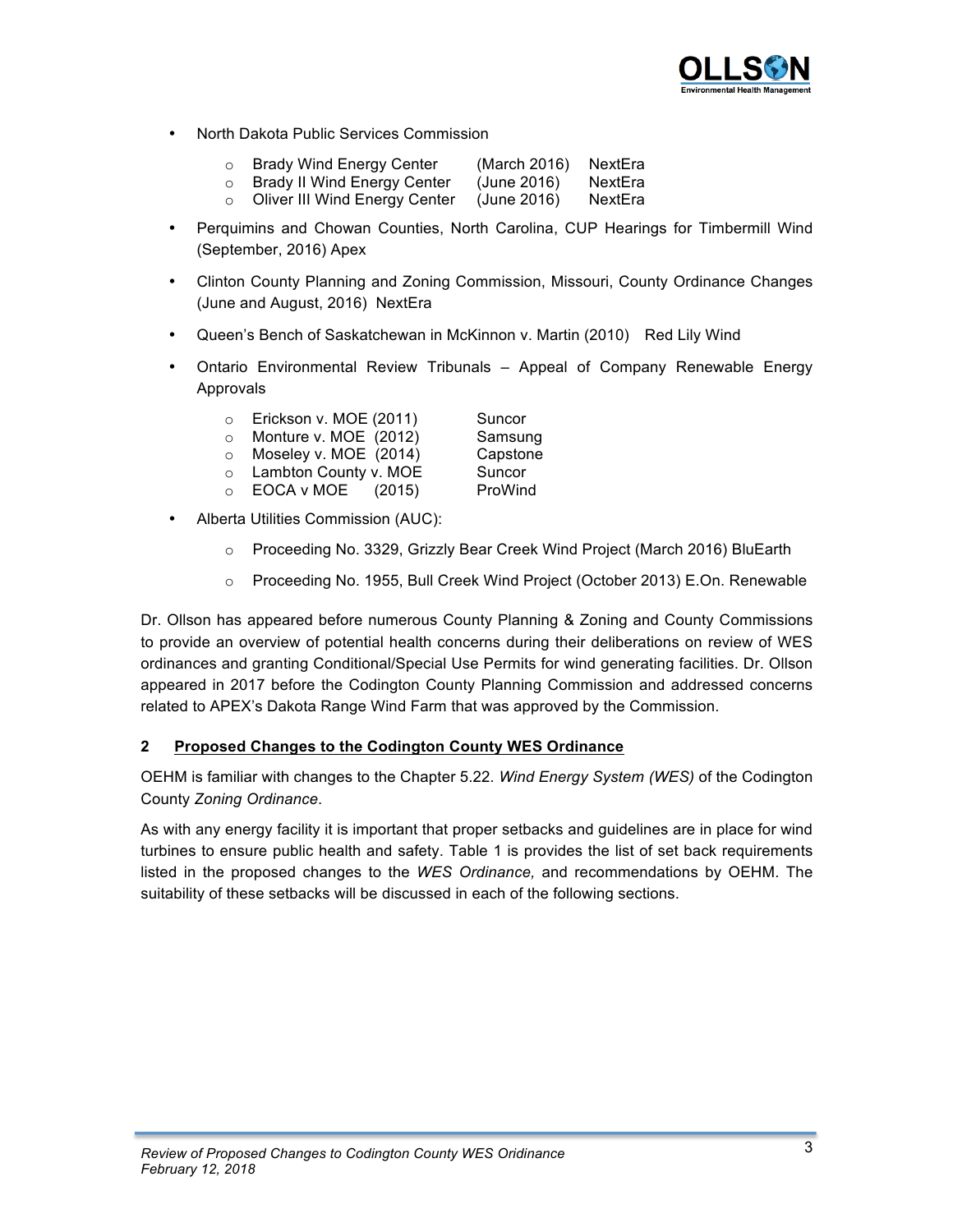

- North Dakota Public Services Commission
	- o Brady Wind Energy Center (March 2016) NextEra

| <b>Brady II Wind Energy Center</b> | (June 2016) | NextEra |
|------------------------------------|-------------|---------|

- o Oliver III Wind Energy Center (June 2016) NextEra
- Perquimins and Chowan Counties, North Carolina, CUP Hearings for Timbermill Wind (September, 2016) Apex
- Clinton County Planning and Zoning Commission, Missouri, County Ordinance Changes (June and August, 2016) NextEra
- Queen's Bench of Saskatchewan in McKinnon v. Martin (2010) Red Lily Wind
- Ontario Environmental Review Tribunals Appeal of Company Renewable Energy Approvals

| $\circ$ | Erickson v. MOE (2011) | Suncor   |
|---------|------------------------|----------|
| $\circ$ | Monture v. MOE (2012)  | Samsung  |
| $\circ$ | Moseley v. MOE (2014)  | Capstone |
| $\circ$ | Lambton County v. MOE  | Suncor   |
| $\circ$ | EOCA v MOE (2015)      | ProWind  |

- Alberta Utilities Commission (AUC):
	- o Proceeding No. 3329, Grizzly Bear Creek Wind Project (March 2016) BluEarth
	- o Proceeding No. 1955, Bull Creek Wind Project (October 2013) E.On. Renewable

Dr. Ollson has appeared before numerous County Planning & Zoning and County Commissions to provide an overview of potential health concerns during their deliberations on review of WES ordinances and granting Conditional/Special Use Permits for wind generating facilities. Dr. Ollson appeared in 2017 before the Codington County Planning Commission and addressed concerns related to APEX's Dakota Range Wind Farm that was approved by the Commission.

## **2 Proposed Changes to the Codington County WES Ordinance**

OEHM is familiar with changes to the Chapter 5.22*. Wind Energy System (WES)* of the Codington County *Zoning Ordinance*.

As with any energy facility it is important that proper setbacks and guidelines are in place for wind turbines to ensure public health and safety. Table 1 is provides the list of set back requirements listed in the proposed changes to the *WES Ordinance,* and recommendations by OEHM. The suitability of these setbacks will be discussed in each of the following sections.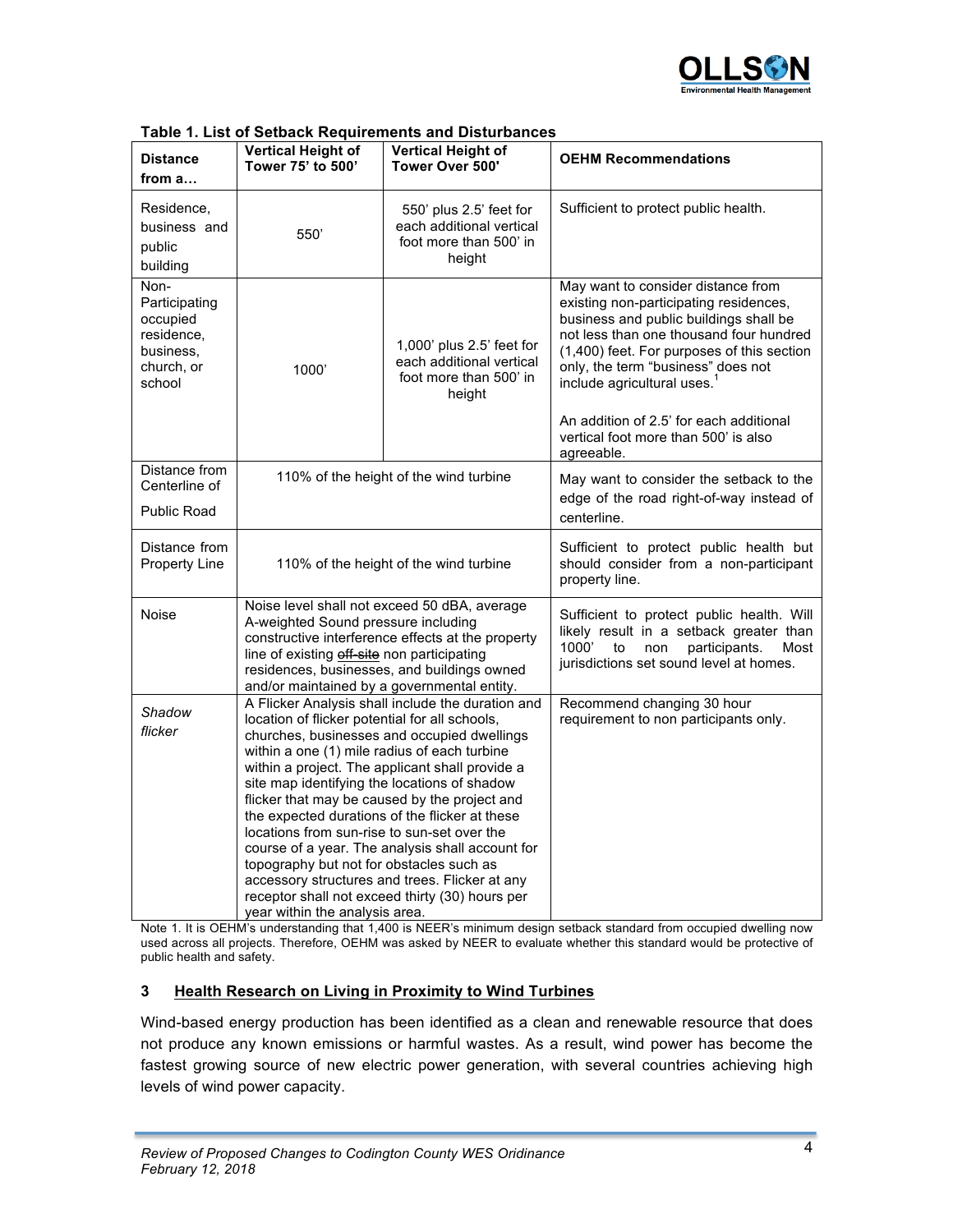

|                                                                                      |                                                                                                                                                                                                                                                                                                                               | rable 1. List of Selback Requirements and Distanciances                                                                                                                                                                                                                                                                                                       |                                                                                                                                                                                                                                                                                                                                                                                     |
|--------------------------------------------------------------------------------------|-------------------------------------------------------------------------------------------------------------------------------------------------------------------------------------------------------------------------------------------------------------------------------------------------------------------------------|---------------------------------------------------------------------------------------------------------------------------------------------------------------------------------------------------------------------------------------------------------------------------------------------------------------------------------------------------------------|-------------------------------------------------------------------------------------------------------------------------------------------------------------------------------------------------------------------------------------------------------------------------------------------------------------------------------------------------------------------------------------|
| <b>Distance</b><br>from a                                                            | <b>Vertical Height of</b><br>Tower 75' to 500'                                                                                                                                                                                                                                                                                | <b>Vertical Height of</b><br>Tower Over 500'                                                                                                                                                                                                                                                                                                                  | <b>OEHM Recommendations</b>                                                                                                                                                                                                                                                                                                                                                         |
| Residence,<br>business and<br>public<br>building                                     | 550                                                                                                                                                                                                                                                                                                                           | 550' plus 2.5' feet for<br>each additional vertical<br>foot more than 500' in<br>height                                                                                                                                                                                                                                                                       | Sufficient to protect public health.                                                                                                                                                                                                                                                                                                                                                |
| Non-<br>Participating<br>occupied<br>residence.<br>business,<br>church, or<br>school | 1,000' plus 2.5' feet for<br>each additional vertical<br>1000<br>foot more than 500' in<br>height                                                                                                                                                                                                                             |                                                                                                                                                                                                                                                                                                                                                               | May want to consider distance from<br>existing non-participating residences,<br>business and public buildings shall be<br>not less than one thousand four hundred<br>(1,400) feet. For purposes of this section<br>only, the term "business" does not<br>include agricultural uses. <sup>1</sup><br>An addition of 2.5' for each additional<br>vertical foot more than 500' is also |
| Distance from                                                                        |                                                                                                                                                                                                                                                                                                                               |                                                                                                                                                                                                                                                                                                                                                               | agreeable.                                                                                                                                                                                                                                                                                                                                                                          |
| Centerline of                                                                        |                                                                                                                                                                                                                                                                                                                               | 110% of the height of the wind turbine                                                                                                                                                                                                                                                                                                                        | May want to consider the setback to the<br>edge of the road right-of-way instead of                                                                                                                                                                                                                                                                                                 |
| <b>Public Road</b>                                                                   |                                                                                                                                                                                                                                                                                                                               |                                                                                                                                                                                                                                                                                                                                                               | centerline.                                                                                                                                                                                                                                                                                                                                                                         |
| Distance from<br><b>Property Line</b>                                                | 110% of the height of the wind turbine                                                                                                                                                                                                                                                                                        |                                                                                                                                                                                                                                                                                                                                                               | Sufficient to protect public health but<br>should consider from a non-participant<br>property line.                                                                                                                                                                                                                                                                                 |
| Noise                                                                                | A-weighted Sound pressure including<br>line of existing off site non participating<br>and/or maintained by a governmental entity.                                                                                                                                                                                             | Noise level shall not exceed 50 dBA, average<br>constructive interference effects at the property<br>residences, businesses, and buildings owned                                                                                                                                                                                                              | Sufficient to protect public health. Will<br>likely result in a setback greater than<br>1000'<br>to<br>participants.<br>Most<br>non<br>jurisdictions set sound level at homes.                                                                                                                                                                                                      |
| Shadow<br>flicker                                                                    | location of flicker potential for all schools,<br>within a one (1) mile radius of each turbine<br>site map identifying the locations of shadow<br>the expected durations of the flicker at these<br>locations from sun-rise to sun-set over the<br>topography but not for obstacles such as<br>year within the analysis area. | A Flicker Analysis shall include the duration and<br>churches, businesses and occupied dwellings<br>within a project. The applicant shall provide a<br>flicker that may be caused by the project and<br>course of a year. The analysis shall account for<br>accessory structures and trees. Flicker at any<br>receptor shall not exceed thirty (30) hours per | Recommend changing 30 hour<br>requirement to non participants only.                                                                                                                                                                                                                                                                                                                 |

#### **Table 1. List of Setback Requirements and Disturbances**

Note 1. It is OEHM's understanding that 1,400 is NEER's minimum design setback standard from occupied dwelling now used across all projects. Therefore, OEHM was asked by NEER to evaluate whether this standard would be protective of public health and safety.

#### **3 Health Research on Living in Proximity to Wind Turbines**

Wind-based energy production has been identified as a clean and renewable resource that does not produce any known emissions or harmful wastes. As a result, wind power has become the fastest growing source of new electric power generation, with several countries achieving high levels of wind power capacity.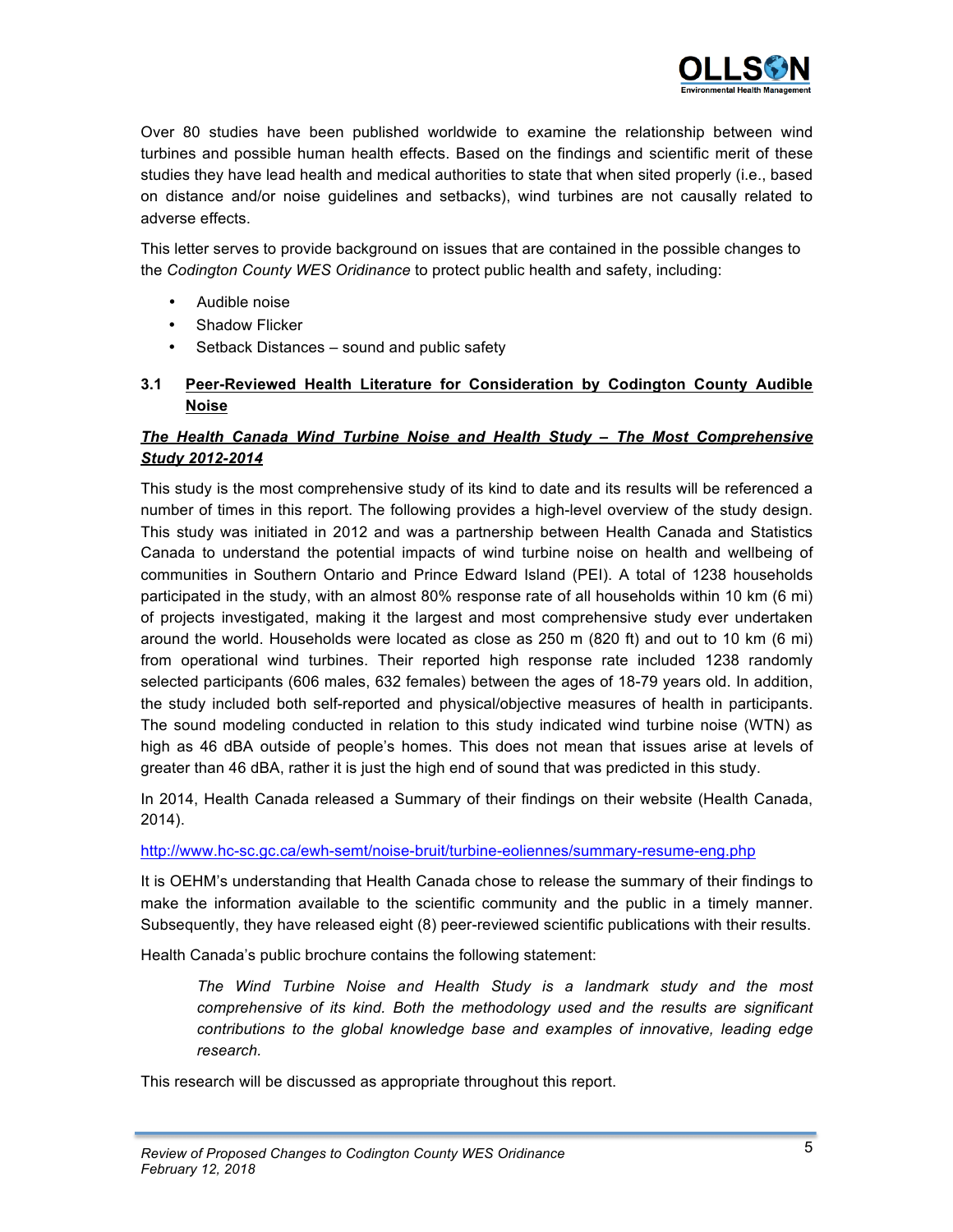

Over 80 studies have been published worldwide to examine the relationship between wind turbines and possible human health effects. Based on the findings and scientific merit of these studies they have lead health and medical authorities to state that when sited properly (i.e., based on distance and/or noise guidelines and setbacks), wind turbines are not causally related to adverse effects.

This letter serves to provide background on issues that are contained in the possible changes to the *Codington County WES Oridinance* to protect public health and safety, including:

- Audible noise
- Shadow Flicker
- Setback Distances sound and public safety
- **3.1 Peer-Reviewed Health Literature for Consideration by Codington County Audible Noise**

# *The Health Canada Wind Turbine Noise and Health Study – The Most Comprehensive Study 2012-2014*

This study is the most comprehensive study of its kind to date and its results will be referenced a number of times in this report. The following provides a high-level overview of the study design. This study was initiated in 2012 and was a partnership between Health Canada and Statistics Canada to understand the potential impacts of wind turbine noise on health and wellbeing of communities in Southern Ontario and Prince Edward Island (PEI). A total of 1238 households participated in the study, with an almost 80% response rate of all households within 10 km (6 mi) of projects investigated, making it the largest and most comprehensive study ever undertaken around the world. Households were located as close as 250 m (820 ft) and out to 10 km (6 mi) from operational wind turbines. Their reported high response rate included 1238 randomly selected participants (606 males, 632 females) between the ages of 18-79 years old. In addition, the study included both self-reported and physical/objective measures of health in participants. The sound modeling conducted in relation to this study indicated wind turbine noise (WTN) as high as 46 dBA outside of people's homes. This does not mean that issues arise at levels of greater than 46 dBA, rather it is just the high end of sound that was predicted in this study.

In 2014, Health Canada released a Summary of their findings on their website (Health Canada, 2014).

http://www.hc-sc.gc.ca/ewh-semt/noise-bruit/turbine-eoliennes/summary-resume-eng.php

It is OEHM's understanding that Health Canada chose to release the summary of their findings to make the information available to the scientific community and the public in a timely manner. Subsequently, they have released eight (8) peer-reviewed scientific publications with their results.

Health Canada's public brochure contains the following statement:

*The Wind Turbine Noise and Health Study is a landmark study and the most comprehensive of its kind. Both the methodology used and the results are significant contributions to the global knowledge base and examples of innovative, leading edge research.*

This research will be discussed as appropriate throughout this report.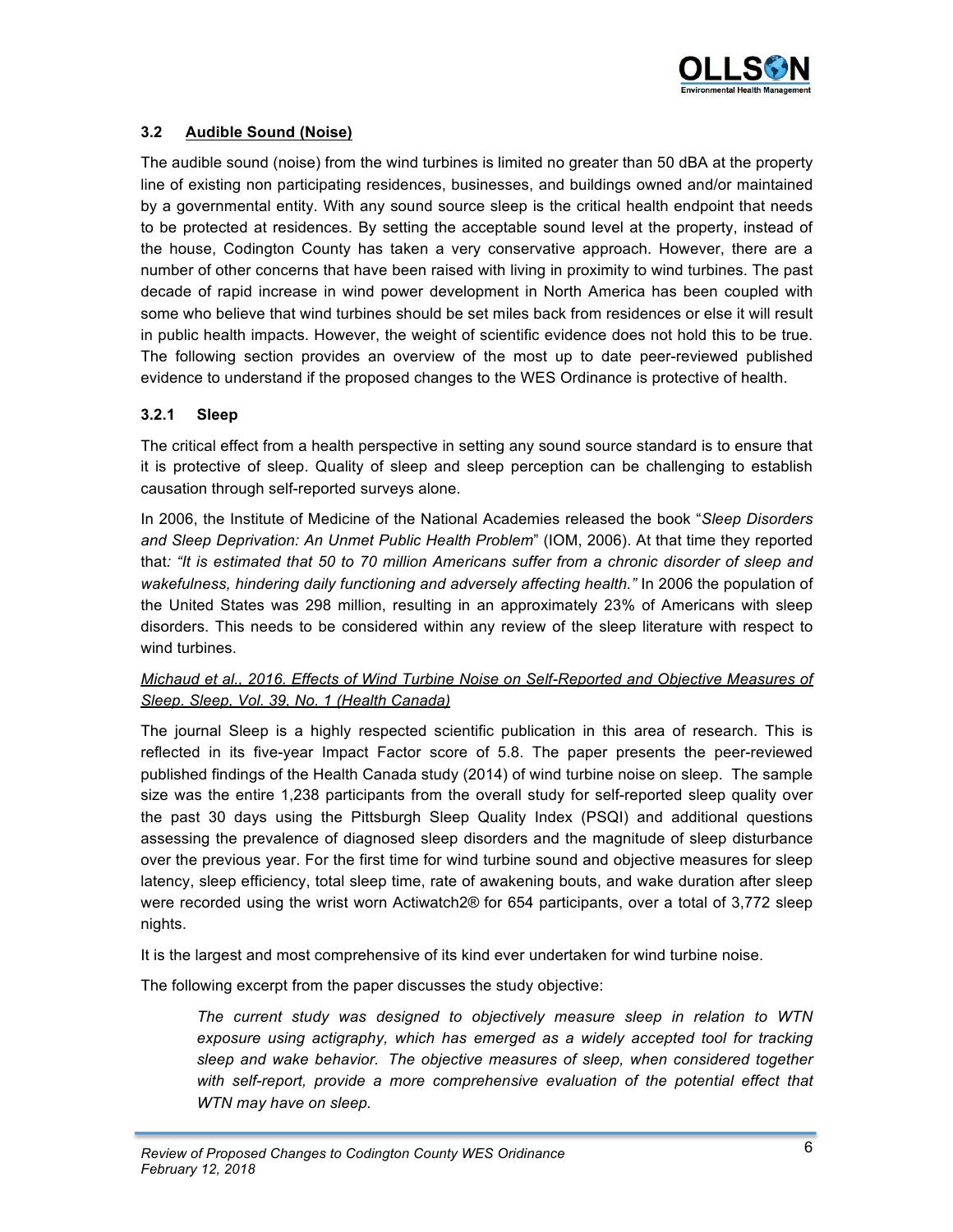

# **3.2 Audible Sound (Noise)**

The audible sound (noise) from the wind turbines is limited no greater than 50 dBA at the property line of existing non participating residences, businesses, and buildings owned and/or maintained by a governmental entity. With any sound source sleep is the critical health endpoint that needs to be protected at residences. By setting the acceptable sound level at the property, instead of the house, Codington County has taken a very conservative approach. However, there are a number of other concerns that have been raised with living in proximity to wind turbines. The past decade of rapid increase in wind power development in North America has been coupled with some who believe that wind turbines should be set miles back from residences or else it will result in public health impacts. However, the weight of scientific evidence does not hold this to be true. The following section provides an overview of the most up to date peer-reviewed published evidence to understand if the proposed changes to the WES Ordinance is protective of health.

## **3.2.1 Sleep**

The critical effect from a health perspective in setting any sound source standard is to ensure that it is protective of sleep. Quality of sleep and sleep perception can be challenging to establish causation through self-reported surveys alone.

In 2006, the Institute of Medicine of the National Academies released the book "*Sleep Disorders and Sleep Deprivation: An Unmet Public Health Problem*" (IOM, 2006). At that time they reported that*: "It is estimated that 50 to 70 million Americans suffer from a chronic disorder of sleep and wakefulness, hindering daily functioning and adversely affecting health."* In 2006 the population of the United States was 298 million, resulting in an approximately 23% of Americans with sleep disorders. This needs to be considered within any review of the sleep literature with respect to wind turbines.

## *Michaud et al., 2016. Effects of Wind Turbine Noise on Self-Reported and Objective Measures of Sleep. Sleep, Vol. 39, No. 1 (Health Canada)*

The journal Sleep is a highly respected scientific publication in this area of research. This is reflected in its five-year Impact Factor score of 5.8. The paper presents the peer-reviewed published findings of the Health Canada study (2014) of wind turbine noise on sleep. The sample size was the entire 1,238 participants from the overall study for self-reported sleep quality over the past 30 days using the Pittsburgh Sleep Quality Index (PSQI) and additional questions assessing the prevalence of diagnosed sleep disorders and the magnitude of sleep disturbance over the previous year. For the first time for wind turbine sound and objective measures for sleep latency, sleep efficiency, total sleep time, rate of awakening bouts, and wake duration after sleep were recorded using the wrist worn Actiwatch2® for 654 participants, over a total of 3,772 sleep nights.

It is the largest and most comprehensive of its kind ever undertaken for wind turbine noise.

The following excerpt from the paper discusses the study objective:

*The current study was designed to objectively measure sleep in relation to WTN exposure using actigraphy, which has emerged as a widely accepted tool for tracking sleep and wake behavior. The objective measures of sleep, when considered together*  with self-report, provide a more comprehensive evaluation of the potential effect that *WTN may have on sleep.*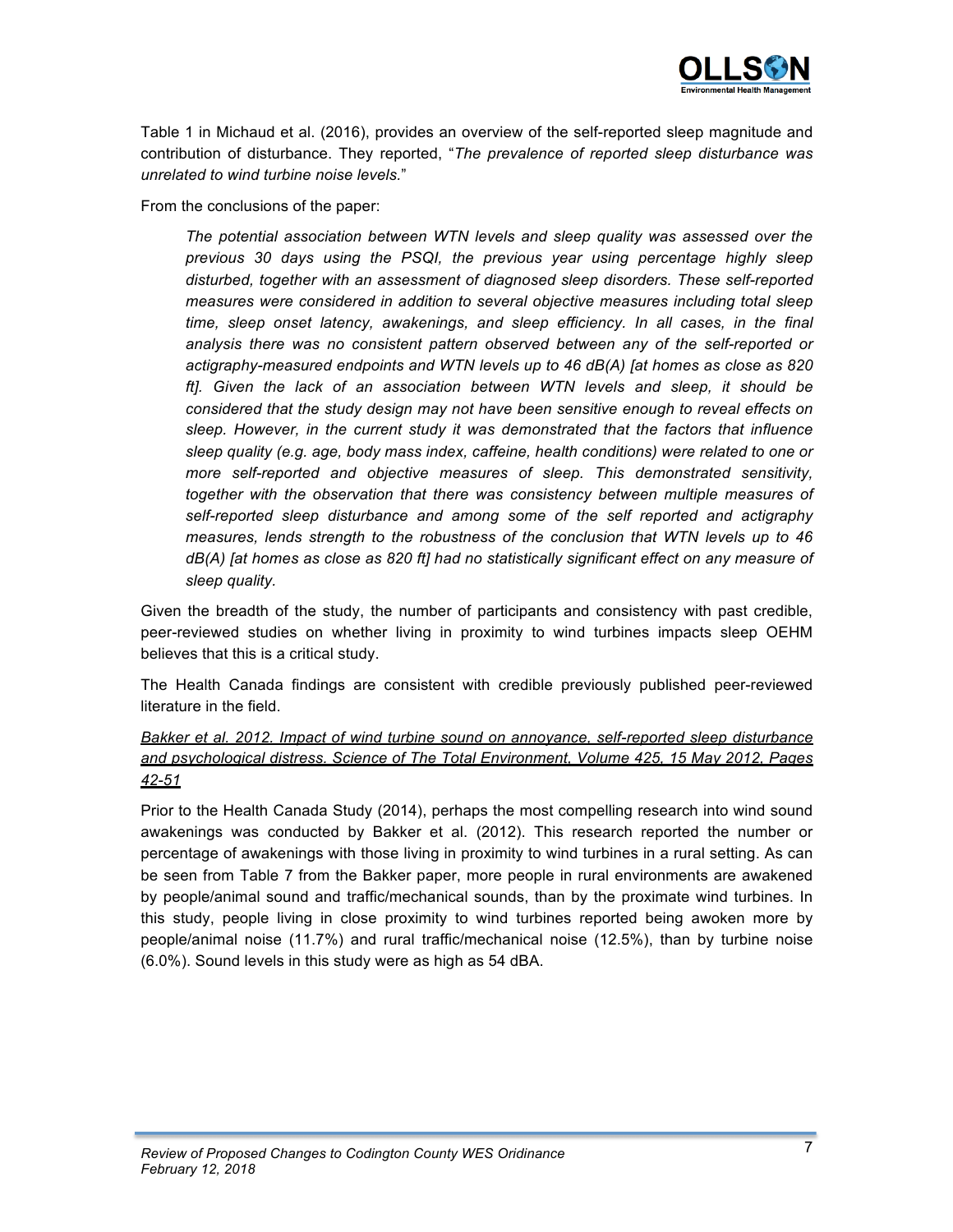

Table 1 in Michaud et al. (2016), provides an overview of the self-reported sleep magnitude and contribution of disturbance. They reported, "*The prevalence of reported sleep disturbance was unrelated to wind turbine noise levels.*"

From the conclusions of the paper:

*The potential association between WTN levels and sleep quality was assessed over the previous 30 days using the PSQI, the previous year using percentage highly sleep disturbed, together with an assessment of diagnosed sleep disorders. These self-reported measures were considered in addition to several objective measures including total sleep time, sleep onset latency, awakenings, and sleep efficiency. In all cases, in the final analysis there was no consistent pattern observed between any of the self-reported or actigraphy-measured endpoints and WTN levels up to 46 dB(A) [at homes as close as 820 ft]. Given the lack of an association between WTN levels and sleep, it should be considered that the study design may not have been sensitive enough to reveal effects on sleep. However, in the current study it was demonstrated that the factors that influence sleep quality (e.g. age, body mass index, caffeine, health conditions) were related to one or more self-reported and objective measures of sleep. This demonstrated sensitivity, together with the observation that there was consistency between multiple measures of self-reported sleep disturbance and among some of the self reported and actigraphy measures, lends strength to the robustness of the conclusion that WTN levels up to 46 dB(A) [at homes as close as 820 ft] had no statistically significant effect on any measure of sleep quality.*

Given the breadth of the study, the number of participants and consistency with past credible, peer-reviewed studies on whether living in proximity to wind turbines impacts sleep OEHM believes that this is a critical study.

The Health Canada findings are consistent with credible previously published peer-reviewed literature in the field.

# *Bakker et al. 2012. Impact of wind turbine sound on annoyance, self-reported sleep disturbance and psychological distress. Science of The Total Environment, Volume 425, 15 May 2012, Pages 42-51*

Prior to the Health Canada Study (2014), perhaps the most compelling research into wind sound awakenings was conducted by Bakker et al. (2012). This research reported the number or percentage of awakenings with those living in proximity to wind turbines in a rural setting. As can be seen from Table 7 from the Bakker paper, more people in rural environments are awakened by people/animal sound and traffic/mechanical sounds, than by the proximate wind turbines. In this study, people living in close proximity to wind turbines reported being awoken more by people/animal noise (11.7%) and rural traffic/mechanical noise (12.5%), than by turbine noise (6.0%). Sound levels in this study were as high as 54 dBA.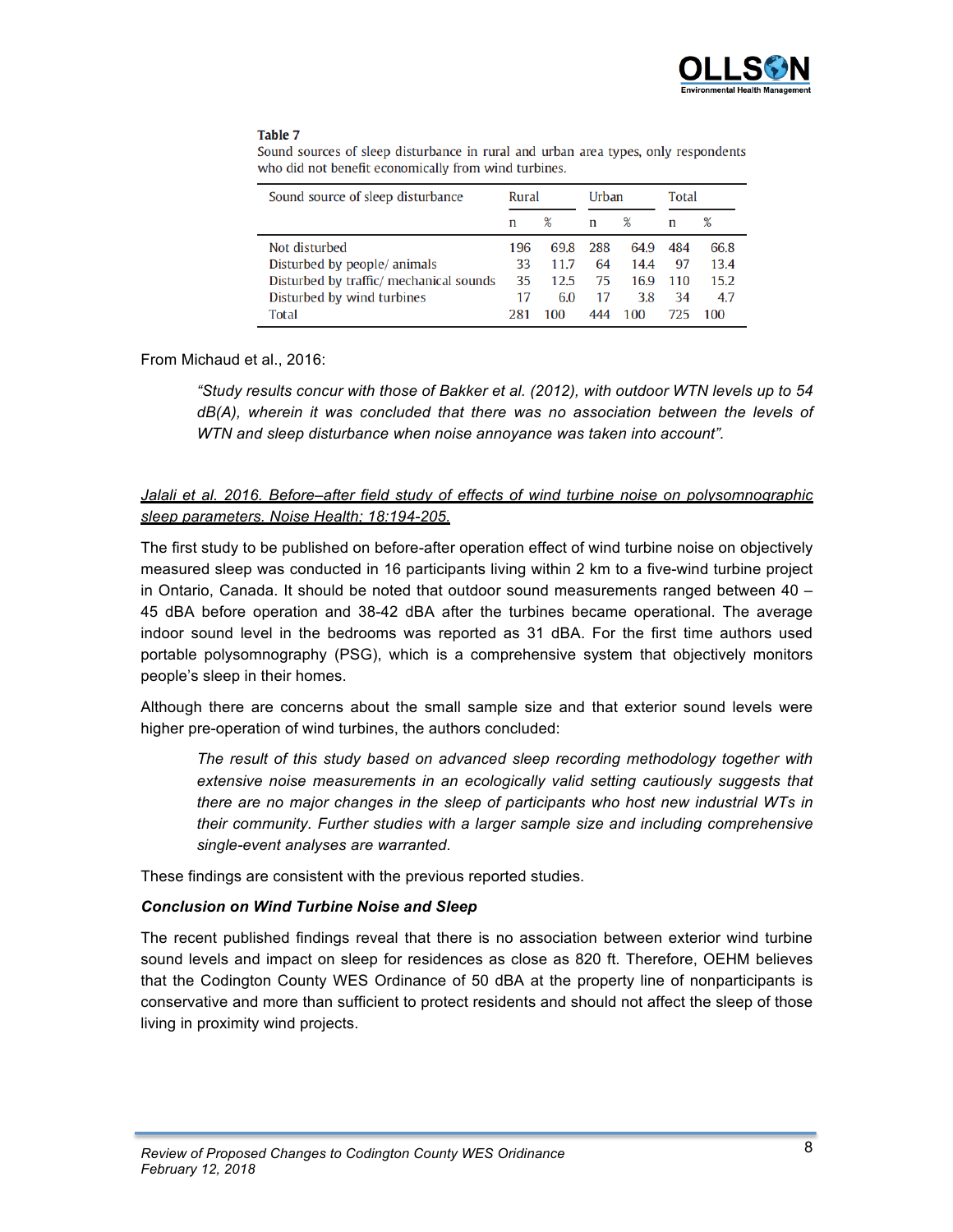

#### Table 7

| Sound source of sleep disturbance       | Rural |      | Urban |      | <b>Total</b> |      |
|-----------------------------------------|-------|------|-------|------|--------------|------|
|                                         | n     | $\%$ | n     | ℅    | n            | %    |
| Not disturbed                           | 196   | 69.8 | 288   | 64.9 | 484          | 66.8 |
| Disturbed by people/ animals            | 33    | 11.7 | 64    | 14.4 | 97           | 13.4 |
| Disturbed by traffic/ mechanical sounds | 35    | 12.5 | 75    | 16.9 | 110          | 15.2 |
| Disturbed by wind turbines              | 17    | 6.0  | 17    | 3.8  | 34           | 4.7  |
| <b>Total</b>                            | 281   | 100  | 444   | 100  | 725.         | 100  |

Sound sources of sleep disturbance in rural and urban area types, only respondents who did not benefit economically from wind turbines.

#### From Michaud et al., 2016:

*"Study results concur with those of Bakker et al. (2012), with outdoor WTN levels up to 54 dB(A), wherein it was concluded that there was no association between the levels of WTN and sleep disturbance when noise annoyance was taken into account".*

## *Jalali et al. 2016. Before–after field study of effects of wind turbine noise on polysomnographic sleep parameters. Noise Health; 18:194-205.*

The first study to be published on before-after operation effect of wind turbine noise on objectively measured sleep was conducted in 16 participants living within 2 km to a five-wind turbine project in Ontario, Canada. It should be noted that outdoor sound measurements ranged between 40 – 45 dBA before operation and 38-42 dBA after the turbines became operational. The average indoor sound level in the bedrooms was reported as 31 dBA. For the first time authors used portable polysomnography (PSG), which is a comprehensive system that objectively monitors people's sleep in their homes.

Although there are concerns about the small sample size and that exterior sound levels were higher pre-operation of wind turbines, the authors concluded:

*The result of this study based on advanced sleep recording methodology together with extensive noise measurements in an ecologically valid setting cautiously suggests that there are no major changes in the sleep of participants who host new industrial WTs in their community. Further studies with a larger sample size and including comprehensive single-event analyses are warranted.*

These findings are consistent with the previous reported studies.

## *Conclusion on Wind Turbine Noise and Sleep*

The recent published findings reveal that there is no association between exterior wind turbine sound levels and impact on sleep for residences as close as 820 ft. Therefore, OEHM believes that the Codington County WES Ordinance of 50 dBA at the property line of nonparticipants is conservative and more than sufficient to protect residents and should not affect the sleep of those living in proximity wind projects.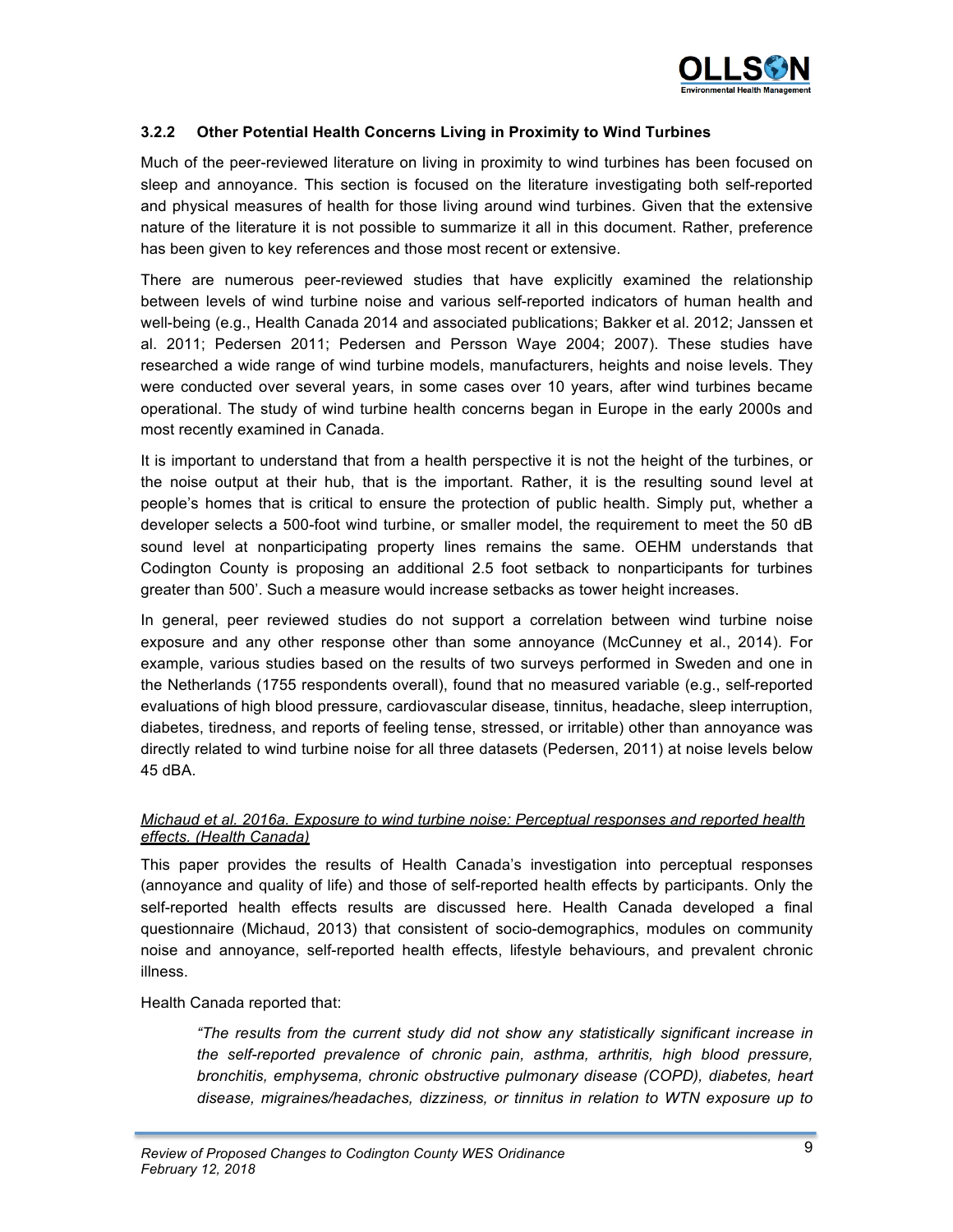

## **3.2.2 Other Potential Health Concerns Living in Proximity to Wind Turbines**

Much of the peer-reviewed literature on living in proximity to wind turbines has been focused on sleep and annoyance. This section is focused on the literature investigating both self-reported and physical measures of health for those living around wind turbines. Given that the extensive nature of the literature it is not possible to summarize it all in this document. Rather, preference has been given to key references and those most recent or extensive.

There are numerous peer-reviewed studies that have explicitly examined the relationship between levels of wind turbine noise and various self-reported indicators of human health and well-being (e.g., Health Canada 2014 and associated publications; Bakker et al. 2012; Janssen et al. 2011; Pedersen 2011; Pedersen and Persson Waye 2004; 2007). These studies have researched a wide range of wind turbine models, manufacturers, heights and noise levels. They were conducted over several years, in some cases over 10 years, after wind turbines became operational. The study of wind turbine health concerns began in Europe in the early 2000s and most recently examined in Canada.

It is important to understand that from a health perspective it is not the height of the turbines, or the noise output at their hub, that is the important. Rather, it is the resulting sound level at people's homes that is critical to ensure the protection of public health. Simply put, whether a developer selects a 500-foot wind turbine, or smaller model, the requirement to meet the 50 dB sound level at nonparticipating property lines remains the same. OEHM understands that Codington County is proposing an additional 2.5 foot setback to nonparticipants for turbines greater than 500'. Such a measure would increase setbacks as tower height increases.

In general, peer reviewed studies do not support a correlation between wind turbine noise exposure and any other response other than some annoyance (McCunney et al., 2014). For example, various studies based on the results of two surveys performed in Sweden and one in the Netherlands (1755 respondents overall), found that no measured variable (e.g., self-reported evaluations of high blood pressure, cardiovascular disease, tinnitus, headache, sleep interruption, diabetes, tiredness, and reports of feeling tense, stressed, or irritable) other than annoyance was directly related to wind turbine noise for all three datasets (Pedersen, 2011) at noise levels below 45 dBA.

## *Michaud et al. 2016a. Exposure to wind turbine noise: Perceptual responses and reported health effects. (Health Canada)*

This paper provides the results of Health Canada's investigation into perceptual responses (annoyance and quality of life) and those of self-reported health effects by participants. Only the self-reported health effects results are discussed here. Health Canada developed a final questionnaire (Michaud, 2013) that consistent of socio-demographics, modules on community noise and annoyance, self-reported health effects, lifestyle behaviours, and prevalent chronic illness.

Health Canada reported that:

*"The results from the current study did not show any statistically significant increase in the self-reported prevalence of chronic pain, asthma, arthritis, high blood pressure, bronchitis, emphysema, chronic obstructive pulmonary disease (COPD), diabetes, heart disease, migraines/headaches, dizziness, or tinnitus in relation to WTN exposure up to*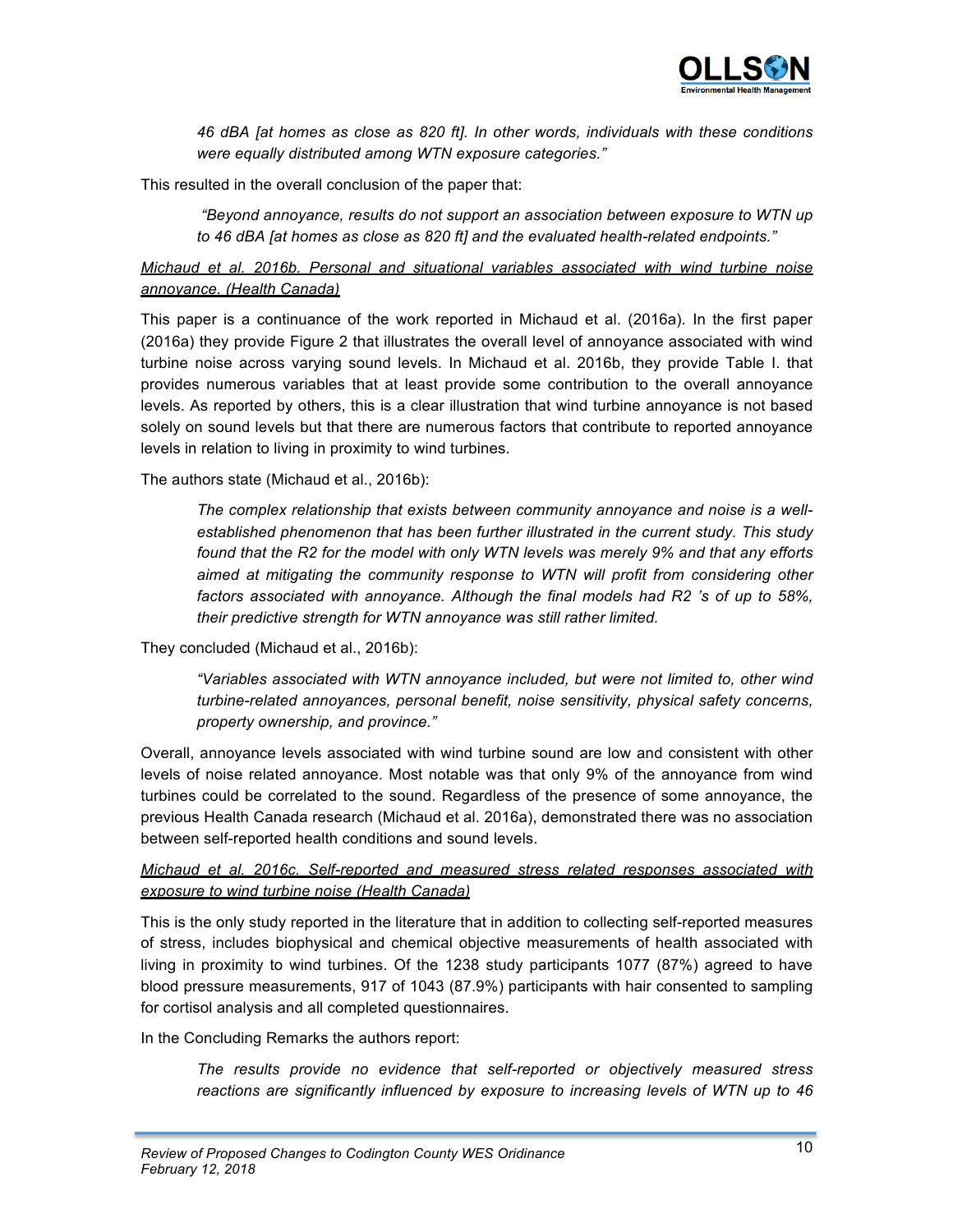

*46 dBA [at homes as close as 820 ft]. In other words, individuals with these conditions were equally distributed among WTN exposure categories."* 

This resulted in the overall conclusion of the paper that:

*"Beyond annoyance, results do not support an association between exposure to WTN up to 46 dBA [at homes as close as 820 ft] and the evaluated health-related endpoints."*

## *Michaud et al. 2016b. Personal and situational variables associated with wind turbine noise annoyance. (Health Canada)*

This paper is a continuance of the work reported in Michaud et al. (2016a). In the first paper (2016a) they provide Figure 2 that illustrates the overall level of annoyance associated with wind turbine noise across varying sound levels. In Michaud et al. 2016b, they provide Table I. that provides numerous variables that at least provide some contribution to the overall annoyance levels. As reported by others, this is a clear illustration that wind turbine annoyance is not based solely on sound levels but that there are numerous factors that contribute to reported annoyance levels in relation to living in proximity to wind turbines.

The authors state (Michaud et al., 2016b):

*The complex relationship that exists between community annoyance and noise is a wellestablished phenomenon that has been further illustrated in the current study. This study found that the R2 for the model with only WTN levels was merely 9% and that any efforts aimed at mitigating the community response to WTN will profit from considering other factors associated with annoyance. Although the final models had R2 's of up to 58%, their predictive strength for WTN annoyance was still rather limited.*

They concluded (Michaud et al., 2016b):

*"Variables associated with WTN annoyance included, but were not limited to, other wind turbine-related annoyances, personal benefit, noise sensitivity, physical safety concerns, property ownership, and province."* 

Overall, annoyance levels associated with wind turbine sound are low and consistent with other levels of noise related annoyance. Most notable was that only 9% of the annoyance from wind turbines could be correlated to the sound. Regardless of the presence of some annoyance, the previous Health Canada research (Michaud et al. 2016a), demonstrated there was no association between self-reported health conditions and sound levels.

## *Michaud et al. 2016c. Self-reported and measured stress related responses associated with exposure to wind turbine noise (Health Canada)*

This is the only study reported in the literature that in addition to collecting self-reported measures of stress, includes biophysical and chemical objective measurements of health associated with living in proximity to wind turbines. Of the 1238 study participants 1077 (87%) agreed to have blood pressure measurements, 917 of 1043 (87.9%) participants with hair consented to sampling for cortisol analysis and all completed questionnaires.

In the Concluding Remarks the authors report:

*The results provide no evidence that self-reported or objectively measured stress reactions are significantly influenced by exposure to increasing levels of WTN up to 46*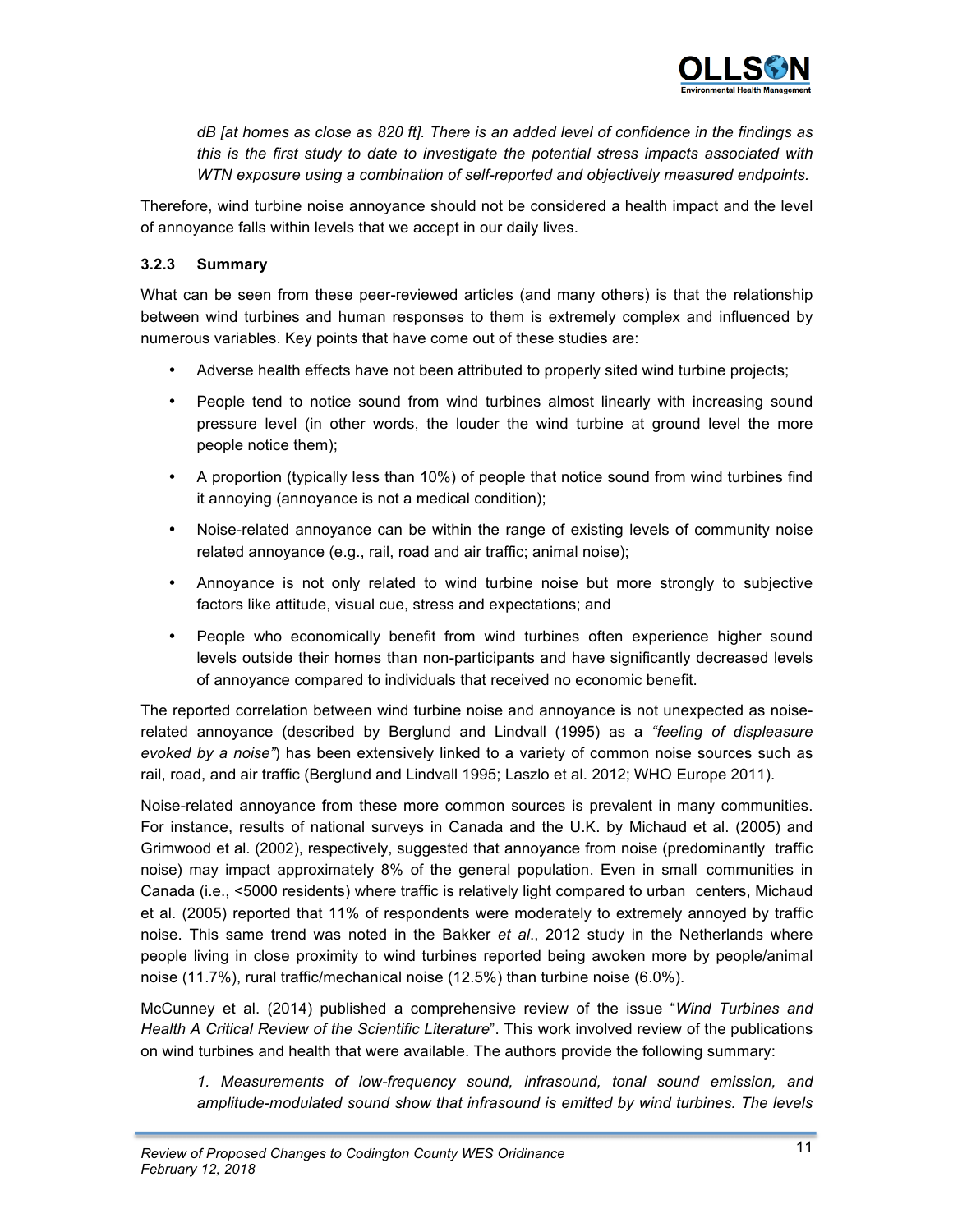

*dB [at homes as close as 820 ft]. There is an added level of confidence in the findings as this is the first study to date to investigate the potential stress impacts associated with WTN exposure using a combination of self-reported and objectively measured endpoints.*

Therefore, wind turbine noise annoyance should not be considered a health impact and the level of annoyance falls within levels that we accept in our daily lives.

## **3.2.3 Summary**

What can be seen from these peer-reviewed articles (and many others) is that the relationship between wind turbines and human responses to them is extremely complex and influenced by numerous variables. Key points that have come out of these studies are:

- Adverse health effects have not been attributed to properly sited wind turbine projects;
- People tend to notice sound from wind turbines almost linearly with increasing sound pressure level (in other words, the louder the wind turbine at ground level the more people notice them);
- A proportion (typically less than 10%) of people that notice sound from wind turbines find it annoying (annoyance is not a medical condition);
- Noise-related annoyance can be within the range of existing levels of community noise related annoyance (e.g., rail, road and air traffic; animal noise);
- Annoyance is not only related to wind turbine noise but more strongly to subjective factors like attitude, visual cue, stress and expectations; and
- People who economically benefit from wind turbines often experience higher sound levels outside their homes than non-participants and have significantly decreased levels of annoyance compared to individuals that received no economic benefit.

The reported correlation between wind turbine noise and annoyance is not unexpected as noiserelated annoyance (described by Berglund and Lindvall (1995) as a *"feeling of displeasure evoked by a noise"*) has been extensively linked to a variety of common noise sources such as rail, road, and air traffic (Berglund and Lindvall 1995; Laszlo et al. 2012; WHO Europe 2011).

Noise-related annoyance from these more common sources is prevalent in many communities. For instance, results of national surveys in Canada and the U.K. by Michaud et al. (2005) and Grimwood et al. (2002), respectively, suggested that annoyance from noise (predominantly traffic noise) may impact approximately 8% of the general population. Even in small communities in Canada (i.e., <5000 residents) where traffic is relatively light compared to urban centers, Michaud et al. (2005) reported that 11% of respondents were moderately to extremely annoyed by traffic noise. This same trend was noted in the Bakker *et al*., 2012 study in the Netherlands where people living in close proximity to wind turbines reported being awoken more by people/animal noise (11.7%), rural traffic/mechanical noise (12.5%) than turbine noise (6.0%).

McCunney et al. (2014) published a comprehensive review of the issue "*Wind Turbines and Health A Critical Review of the Scientific Literature*". This work involved review of the publications on wind turbines and health that were available. The authors provide the following summary:

*1. Measurements of low-frequency sound, infrasound, tonal sound emission, and amplitude-modulated sound show that infrasound is emitted by wind turbines. The levels*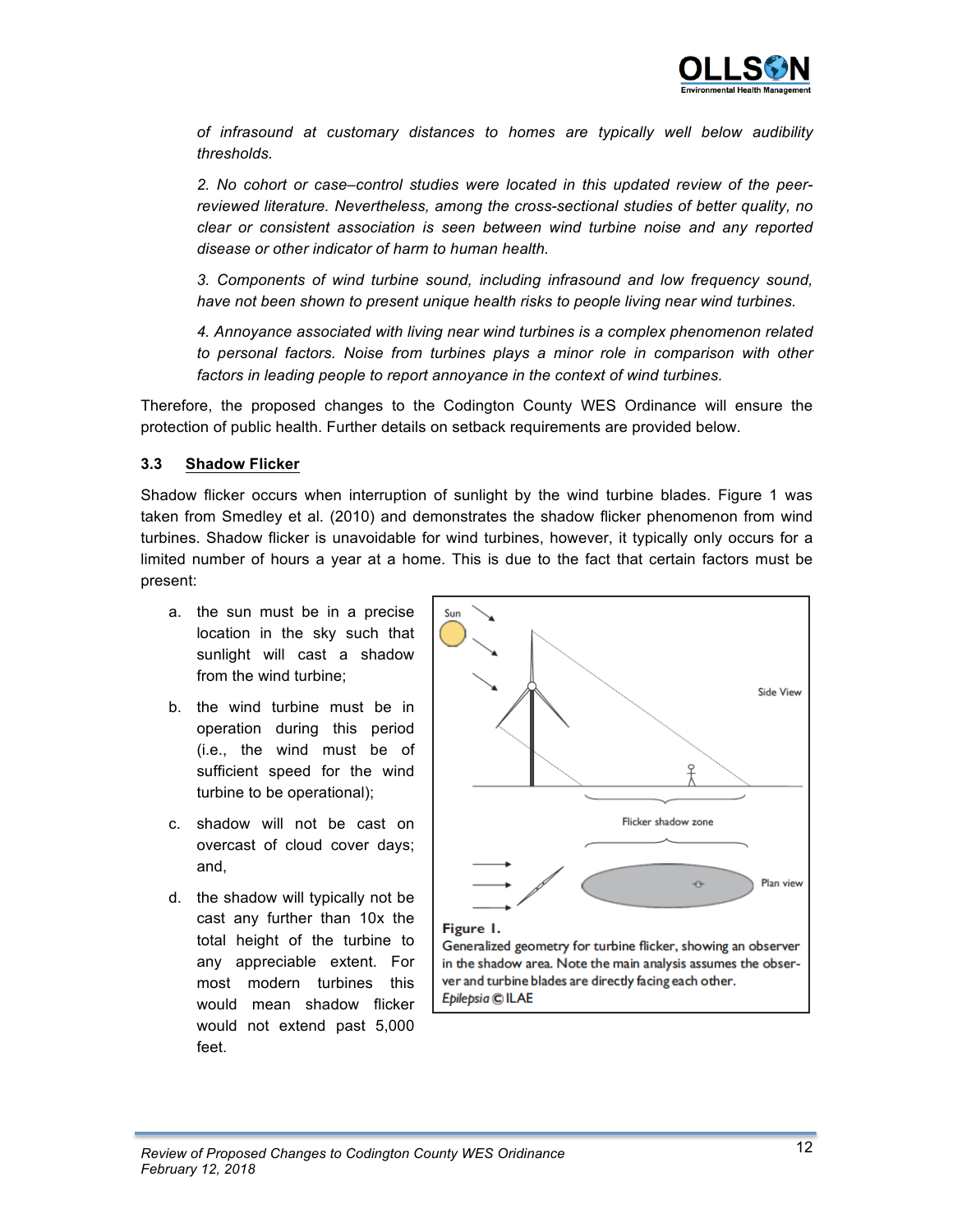

*of infrasound at customary distances to homes are typically well below audibility thresholds.*

*2. No cohort or case–control studies were located in this updated review of the peerreviewed literature. Nevertheless, among the cross-sectional studies of better quality, no clear or consistent association is seen between wind turbine noise and any reported disease or other indicator of harm to human health.*

*3. Components of wind turbine sound, including infrasound and low frequency sound, have not been shown to present unique health risks to people living near wind turbines.*

*4. Annoyance associated with living near wind turbines is a complex phenomenon related to personal factors. Noise from turbines plays a minor role in comparison with other factors in leading people to report annoyance in the context of wind turbines.*

Therefore, the proposed changes to the Codington County WES Ordinance will ensure the protection of public health. Further details on setback requirements are provided below.

#### **3.3 Shadow Flicker**

Shadow flicker occurs when interruption of sunlight by the wind turbine blades. Figure 1 was taken from Smedley et al. (2010) and demonstrates the shadow flicker phenomenon from wind turbines. Shadow flicker is unavoidable for wind turbines, however, it typically only occurs for a limited number of hours a year at a home. This is due to the fact that certain factors must be present:

- a. the sun must be in a precise location in the sky such that sunlight will cast a shadow from the wind turbine;
- b. the wind turbine must be in operation during this period (i.e., the wind must be of sufficient speed for the wind turbine to be operational);
- c. shadow will not be cast on overcast of cloud cover days; and,
- d. the shadow will typically not be cast any further than 10x the total height of the turbine to any appreciable extent. For most modern turbines this would mean shadow flicker would not extend past 5,000 feet.



ver and turbine blades are directly facing each other. Epilepsia © ILAE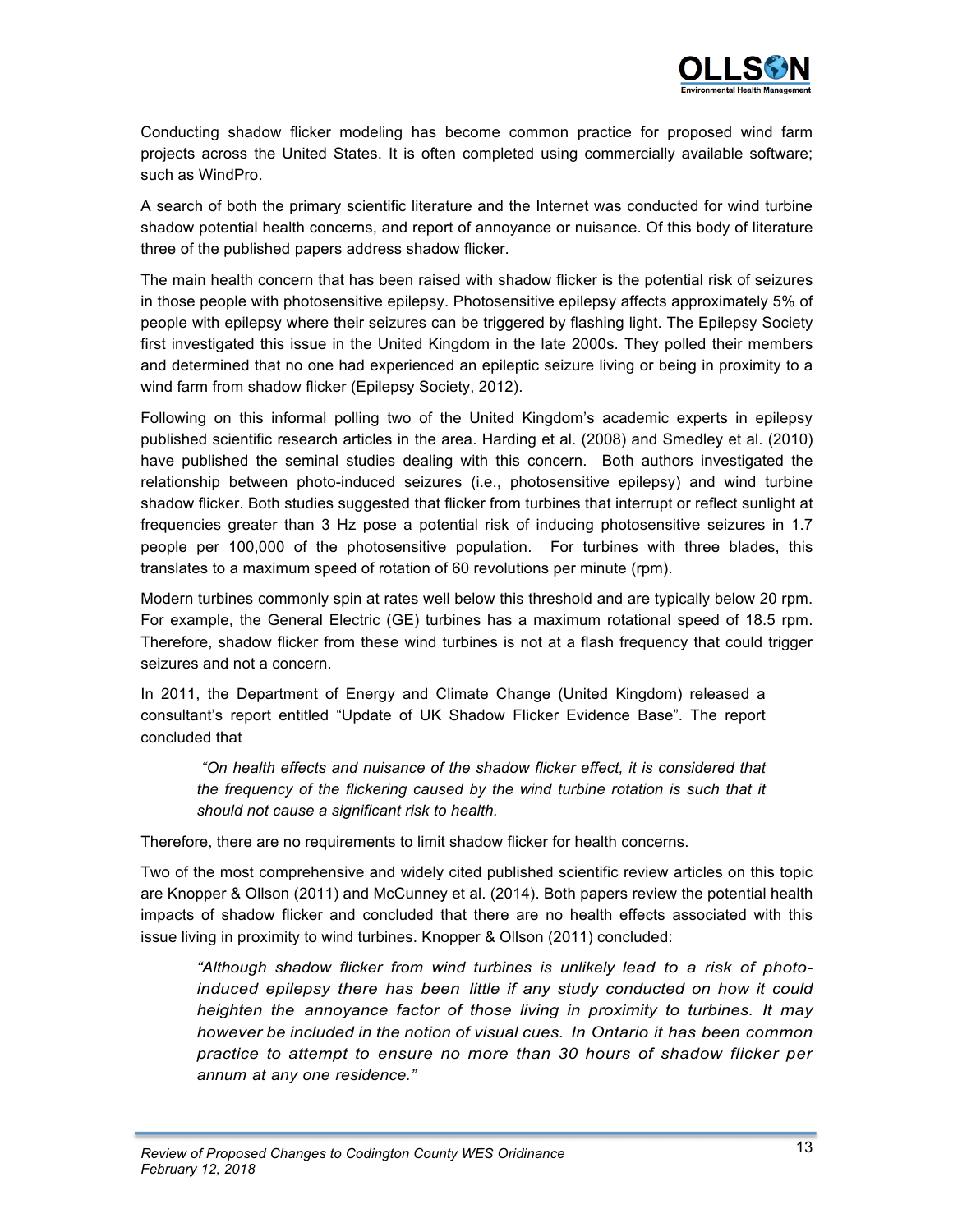

Conducting shadow flicker modeling has become common practice for proposed wind farm projects across the United States. It is often completed using commercially available software; such as WindPro.

A search of both the primary scientific literature and the Internet was conducted for wind turbine shadow potential health concerns, and report of annoyance or nuisance. Of this body of literature three of the published papers address shadow flicker.

The main health concern that has been raised with shadow flicker is the potential risk of seizures in those people with photosensitive epilepsy. Photosensitive epilepsy affects approximately 5% of people with epilepsy where their seizures can be triggered by flashing light. The Epilepsy Society first investigated this issue in the United Kingdom in the late 2000s. They polled their members and determined that no one had experienced an epileptic seizure living or being in proximity to a wind farm from shadow flicker (Epilepsy Society, 2012).

Following on this informal polling two of the United Kingdom's academic experts in epilepsy published scientific research articles in the area. Harding et al. (2008) and Smedley et al. (2010) have published the seminal studies dealing with this concern. Both authors investigated the relationship between photo-induced seizures (i.e., photosensitive epilepsy) and wind turbine shadow flicker. Both studies suggested that flicker from turbines that interrupt or reflect sunlight at frequencies greater than 3 Hz pose a potential risk of inducing photosensitive seizures in 1.7 people per 100,000 of the photosensitive population. For turbines with three blades, this translates to a maximum speed of rotation of 60 revolutions per minute (rpm).

Modern turbines commonly spin at rates well below this threshold and are typically below 20 rpm. For example, the General Electric (GE) turbines has a maximum rotational speed of 18.5 rpm. Therefore, shadow flicker from these wind turbines is not at a flash frequency that could trigger seizures and not a concern.

In 2011, the Department of Energy and Climate Change (United Kingdom) released a consultant's report entitled "Update of UK Shadow Flicker Evidence Base". The report concluded that

*"On health effects and nuisance of the shadow flicker effect, it is considered that the frequency of the flickering caused by the wind turbine rotation is such that it should not cause a significant risk to health.*

Therefore, there are no requirements to limit shadow flicker for health concerns.

Two of the most comprehensive and widely cited published scientific review articles on this topic are Knopper & Ollson (2011) and McCunney et al. (2014). Both papers review the potential health impacts of shadow flicker and concluded that there are no health effects associated with this issue living in proximity to wind turbines. Knopper & Ollson (2011) concluded:

*"Although shadow flicker from wind turbines is unlikely lead to a risk of photoinduced epilepsy there has been little if any study conducted on how it could heighten the annoyance factor of those living in proximity to turbines. It may however be included in the notion of visual cues. In Ontario it has been common practice to attempt to ensure no more than 30 hours of shadow flicker per annum at any one residence."*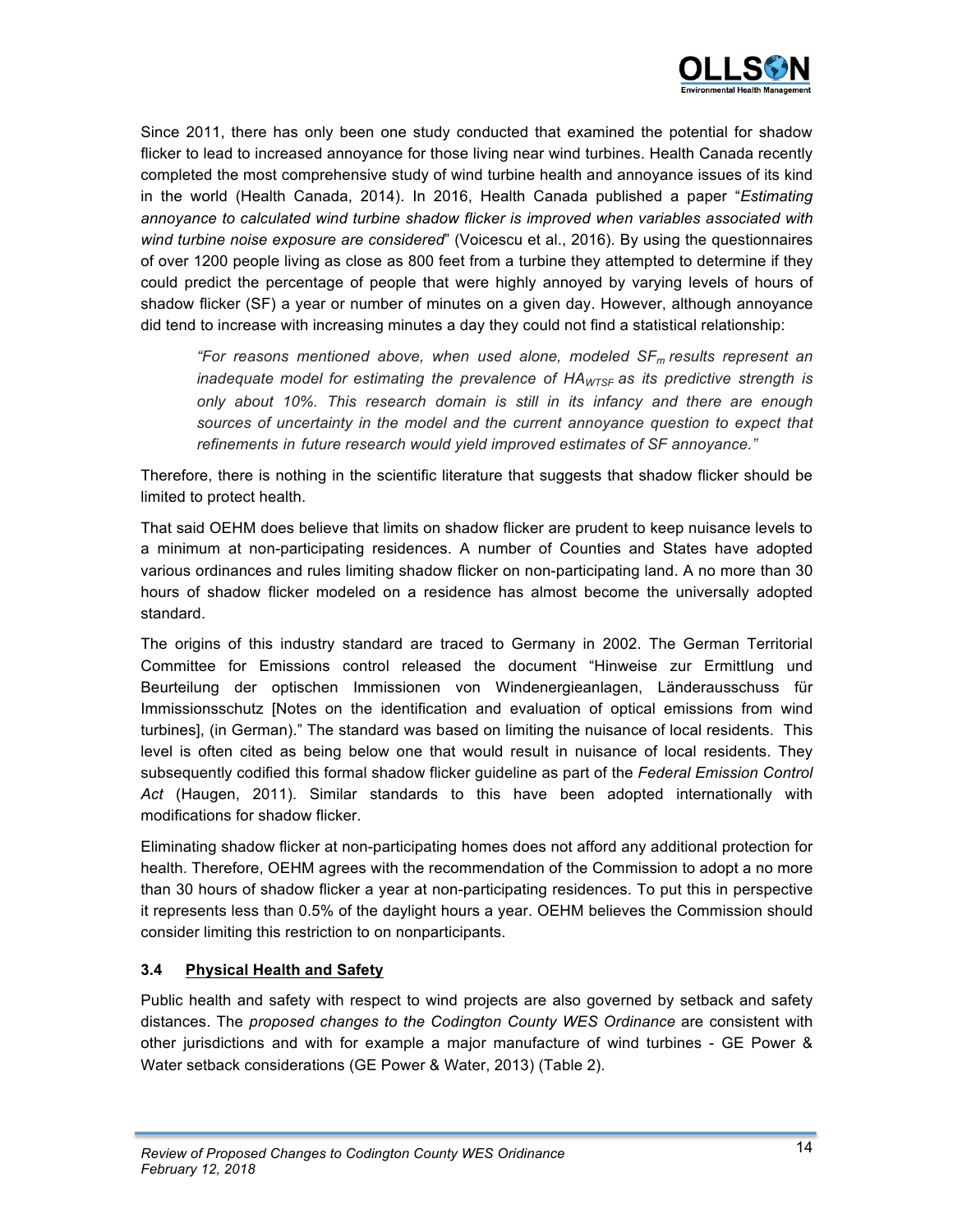

Since 2011, there has only been one study conducted that examined the potential for shadow flicker to lead to increased annoyance for those living near wind turbines. Health Canada recently completed the most comprehensive study of wind turbine health and annoyance issues of its kind in the world (Health Canada, 2014). In 2016, Health Canada published a paper "*Estimating annoyance to calculated wind turbine shadow flicker is improved when variables associated with wind turbine noise exposure are considered*" (Voicescu et al., 2016). By using the questionnaires of over 1200 people living as close as 800 feet from a turbine they attempted to determine if they could predict the percentage of people that were highly annoyed by varying levels of hours of shadow flicker (SF) a year or number of minutes on a given day. However, although annoyance did tend to increase with increasing minutes a day they could not find a statistical relationship:

*"For reasons mentioned above, when used alone, modeled SFm results represent an inadequate model for estimating the prevalence of HAWTSF as its predictive strength is only about 10%. This research domain is still in its infancy and there are enough sources of uncertainty in the model and the current annoyance question to expect that refinements in future research would yield improved estimates of SF annoyance."*

Therefore, there is nothing in the scientific literature that suggests that shadow flicker should be limited to protect health.

That said OEHM does believe that limits on shadow flicker are prudent to keep nuisance levels to a minimum at non-participating residences. A number of Counties and States have adopted various ordinances and rules limiting shadow flicker on non-participating land. A no more than 30 hours of shadow flicker modeled on a residence has almost become the universally adopted standard.

The origins of this industry standard are traced to Germany in 2002. The German Territorial Committee for Emissions control released the document "Hinweise zur Ermittlung und Beurteilung der optischen Immissionen von Windenergieanlagen, Länderausschuss für Immissionsschutz [Notes on the identification and evaluation of optical emissions from wind turbines], (in German)." The standard was based on limiting the nuisance of local residents. This level is often cited as being below one that would result in nuisance of local residents. They subsequently codified this formal shadow flicker guideline as part of the *Federal Emission Control Act* (Haugen, 2011). Similar standards to this have been adopted internationally with modifications for shadow flicker.

Eliminating shadow flicker at non-participating homes does not afford any additional protection for health. Therefore, OEHM agrees with the recommendation of the Commission to adopt a no more than 30 hours of shadow flicker a year at non-participating residences. To put this in perspective it represents less than 0.5% of the daylight hours a year. OEHM believes the Commission should consider limiting this restriction to on nonparticipants.

# **3.4 Physical Health and Safety**

Public health and safety with respect to wind projects are also governed by setback and safety distances. The *proposed changes to the Codington County WES Ordinance* are consistent with other jurisdictions and with for example a major manufacture of wind turbines - GE Power & Water setback considerations (GE Power & Water, 2013) (Table 2).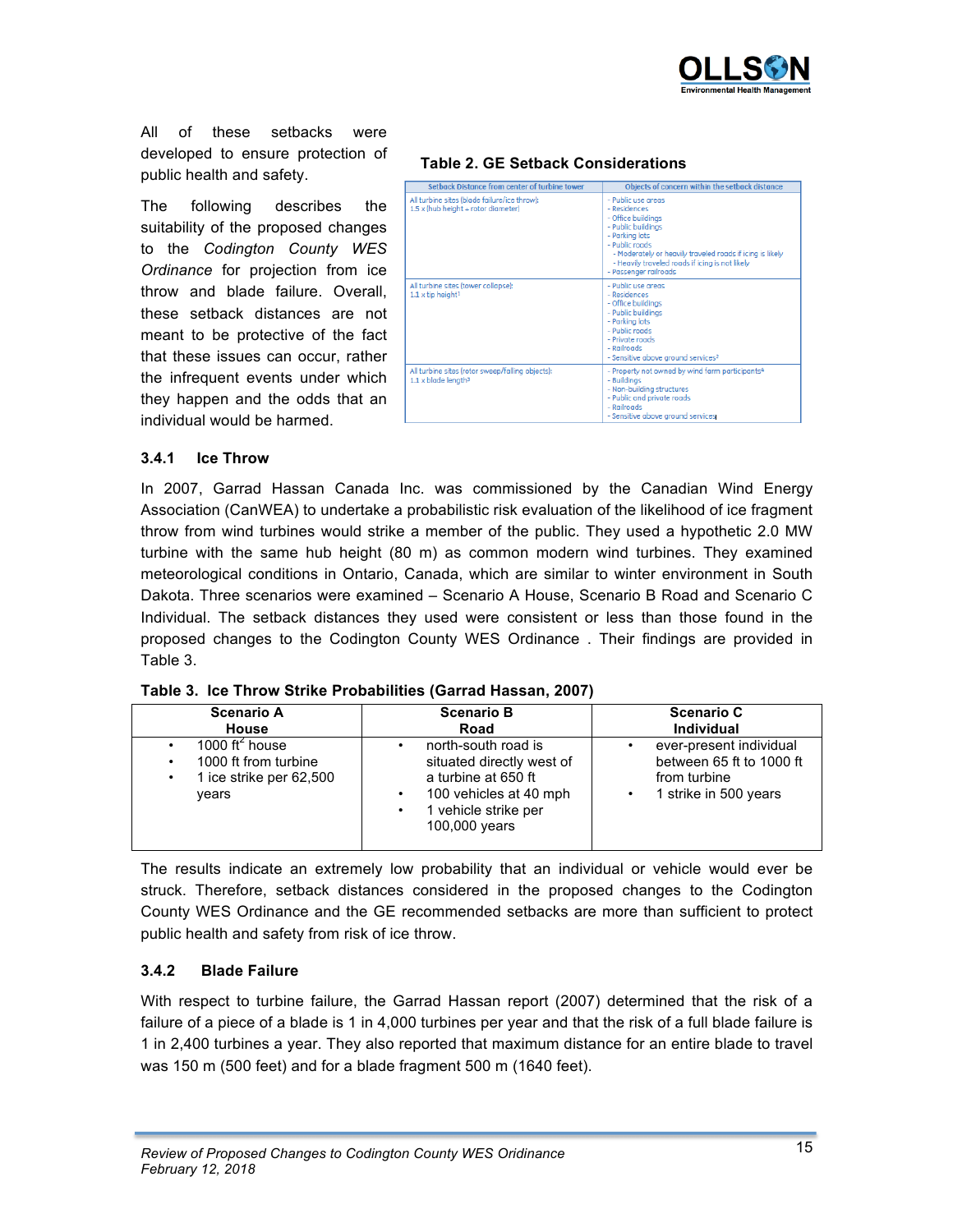

All of these setbacks were developed to ensure protection of public health and safety.

The following describes the suitability of the proposed changes to the *Codington County WES Ordinance* for projection from ice throw and blade failure. Overall, these setback distances are not meant to be protective of the fact that these issues can occur, rather the infrequent events under which they happen and the odds that an individual would be harmed.

# **Table 2. GE Setback Considerations**

| Setback Distance from center of turbine tower                                              | Objects of concern within the setback distance                                                                                                                                                                                                              |
|--------------------------------------------------------------------------------------------|-------------------------------------------------------------------------------------------------------------------------------------------------------------------------------------------------------------------------------------------------------------|
| All turbine sites (blade failure/ice throw):<br>$1.5 \times$ (hub height + rotor diameter) | - Public use greas<br>- Residences<br>- Office buildings<br>- Public buildings<br>- Parking lots<br>- Public roads<br>- Moderately or heavily traveled roads if icing is likely<br>- Heavily traveled roads if icing is not likely<br>- Passenger railroads |
| All turbine sites (tower collapse):<br>$1.1 \times$ tip height <sup>1</sup>                | - Public use greas<br>- Residences<br>- Office buildings<br>- Public buildings<br>- Parking lots<br>- Public roads<br>- Private roads<br>- Railroads<br>- Sensitive above ground services <sup>2</sup>                                                      |
| All turbine sites (rotor sweep/falling objects):<br>$1.1 \times$ blade length <sup>3</sup> | - Property not owned by wind farm participants <sup>4</sup><br>- Buildings<br>- Non-building structures<br>- Public and private roads<br>- Railroads<br>- Sensitive above ground services                                                                   |

## **3.4.1 Ice Throw**

In 2007, Garrad Hassan Canada Inc. was commissioned by the Canadian Wind Energy Association (CanWEA) to undertake a probabilistic risk evaluation of the likelihood of ice fragment throw from wind turbines would strike a member of the public. They used a hypothetic 2.0 MW turbine with the same hub height (80 m) as common modern wind turbines. They examined meteorological conditions in Ontario, Canada, which are similar to winter environment in South Dakota. Three scenarios were examined – Scenario A House, Scenario B Road and Scenario C Individual. The setback distances they used were consistent or less than those found in the proposed changes to the Codington County WES Ordinance . Their findings are provided in Table 3.

|  |  |  |  | Table 3. Ice Throw Strike Probabilities (Garrad Hassan, 2007) |  |
|--|--|--|--|---------------------------------------------------------------|--|
|--|--|--|--|---------------------------------------------------------------|--|

| <b>Scenario A</b>                                                                                | <b>Scenario B</b>                                                                                                                               | <b>Scenario C</b>                                                                            |  |  |
|--------------------------------------------------------------------------------------------------|-------------------------------------------------------------------------------------------------------------------------------------------------|----------------------------------------------------------------------------------------------|--|--|
| <b>House</b>                                                                                     | Road                                                                                                                                            | <b>Individual</b>                                                                            |  |  |
| 1000 ft <sup>2</sup> house<br>1000 ft from turbine<br>٠<br>1 ice strike per 62,500<br>٠<br>vears | north-south road is<br>situated directly west of<br>a turbine at 650 ft<br>100 vehicles at 40 mph<br>1 vehicle strike per<br>٠<br>100,000 years | ever-present individual<br>between 65 ft to 1000 ft<br>from turbine<br>1 strike in 500 years |  |  |

The results indicate an extremely low probability that an individual or vehicle would ever be struck. Therefore, setback distances considered in the proposed changes to the Codington County WES Ordinance and the GE recommended setbacks are more than sufficient to protect public health and safety from risk of ice throw.

## **3.4.2 Blade Failure**

With respect to turbine failure, the Garrad Hassan report (2007) determined that the risk of a failure of a piece of a blade is 1 in 4,000 turbines per year and that the risk of a full blade failure is 1 in 2,400 turbines a year. They also reported that maximum distance for an entire blade to travel was 150 m (500 feet) and for a blade fragment 500 m (1640 feet).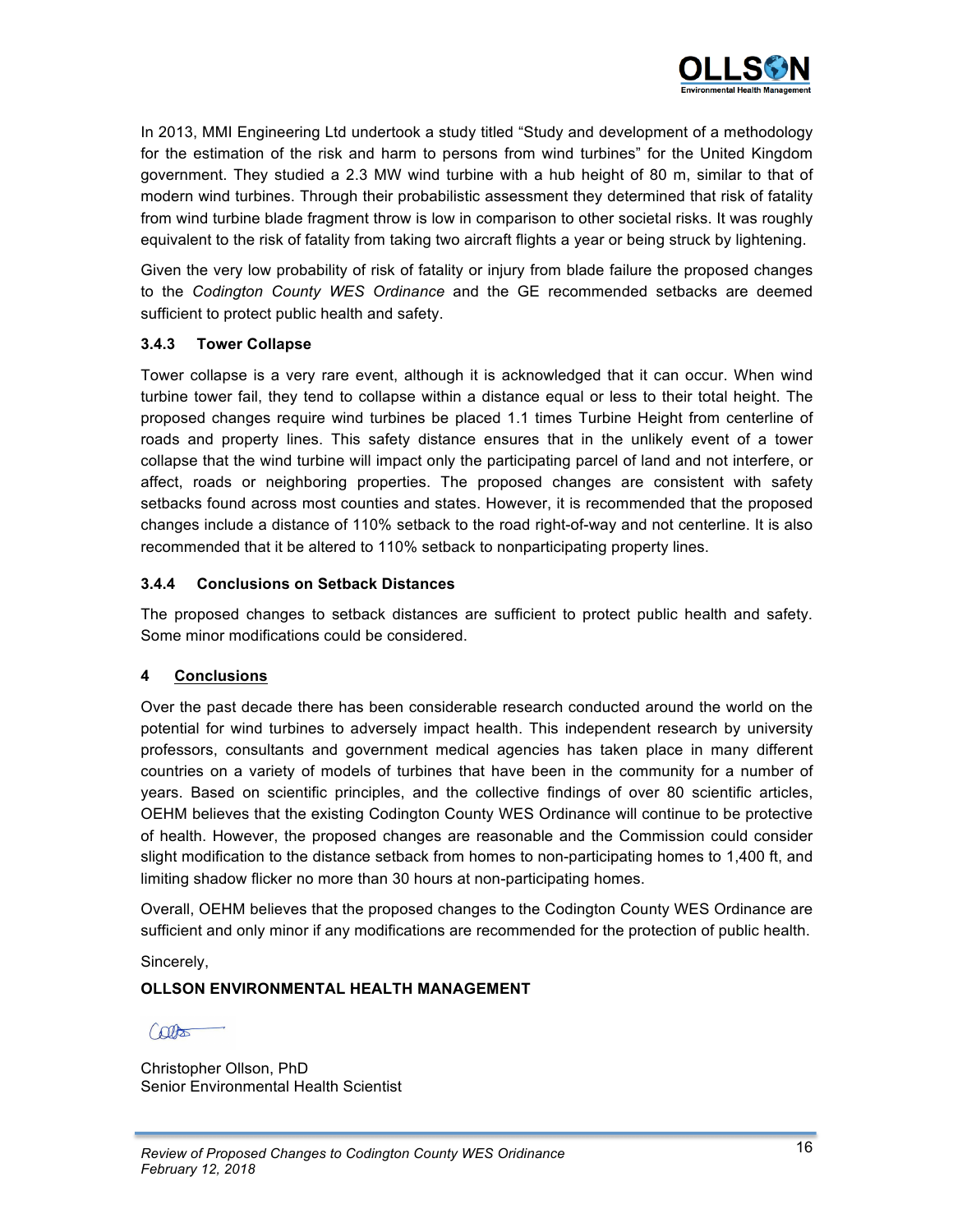

In 2013, MMI Engineering Ltd undertook a study titled "Study and development of a methodology for the estimation of the risk and harm to persons from wind turbines" for the United Kingdom government. They studied a 2.3 MW wind turbine with a hub height of 80 m, similar to that of modern wind turbines. Through their probabilistic assessment they determined that risk of fatality from wind turbine blade fragment throw is low in comparison to other societal risks. It was roughly equivalent to the risk of fatality from taking two aircraft flights a year or being struck by lightening.

Given the very low probability of risk of fatality or injury from blade failure the proposed changes to the *Codington County WES Ordinance* and the GE recommended setbacks are deemed sufficient to protect public health and safety.

## **3.4.3 Tower Collapse**

Tower collapse is a very rare event, although it is acknowledged that it can occur. When wind turbine tower fail, they tend to collapse within a distance equal or less to their total height. The proposed changes require wind turbines be placed 1.1 times Turbine Height from centerline of roads and property lines. This safety distance ensures that in the unlikely event of a tower collapse that the wind turbine will impact only the participating parcel of land and not interfere, or affect, roads or neighboring properties. The proposed changes are consistent with safety setbacks found across most counties and states. However, it is recommended that the proposed changes include a distance of 110% setback to the road right-of-way and not centerline. It is also recommended that it be altered to 110% setback to nonparticipating property lines.

## **3.4.4 Conclusions on Setback Distances**

The proposed changes to setback distances are sufficient to protect public health and safety. Some minor modifications could be considered.

# **4 Conclusions**

Over the past decade there has been considerable research conducted around the world on the potential for wind turbines to adversely impact health. This independent research by university professors, consultants and government medical agencies has taken place in many different countries on a variety of models of turbines that have been in the community for a number of years. Based on scientific principles, and the collective findings of over 80 scientific articles, OEHM believes that the existing Codington County WES Ordinance will continue to be protective of health. However, the proposed changes are reasonable and the Commission could consider slight modification to the distance setback from homes to non-participating homes to 1,400 ft, and limiting shadow flicker no more than 30 hours at non-participating homes.

Overall, OEHM believes that the proposed changes to the Codington County WES Ordinance are sufficient and only minor if any modifications are recommended for the protection of public health.

Sincerely,

# **OLLSON ENVIRONMENTAL HEALTH MANAGEMENT**

Cotto

Christopher Ollson, PhD Senior Environmental Health Scientist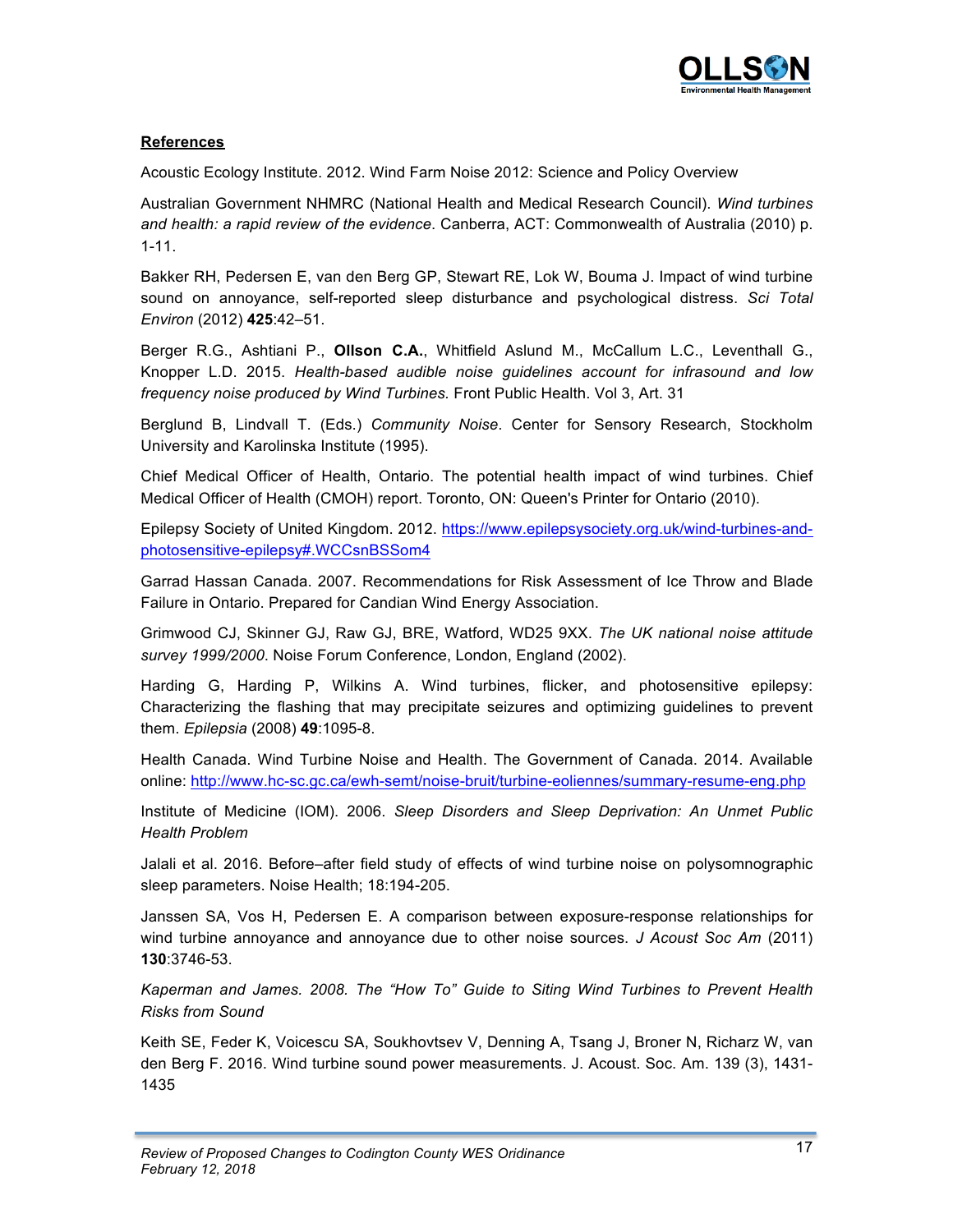

# **References**

Acoustic Ecology Institute. 2012. Wind Farm Noise 2012: Science and Policy Overview

Australian Government NHMRC (National Health and Medical Research Council). *Wind turbines and health: a rapid review of the evidence*. Canberra, ACT: Commonwealth of Australia (2010) p. 1-11.

Bakker RH, Pedersen E, van den Berg GP, Stewart RE, Lok W, Bouma J. Impact of wind turbine sound on annoyance, self-reported sleep disturbance and psychological distress. *Sci Total Environ* (2012) **425**:42–51.

Berger R.G., Ashtiani P., **Ollson C.A.**, Whitfield Aslund M., McCallum L.C., Leventhall G., Knopper L.D. 2015. *Health-based audible noise guidelines account for infrasound and low frequency noise produced by Wind Turbines.* Front Public Health. Vol 3, Art. 31

Berglund B, Lindvall T. (Eds.) *Community Noise*. Center for Sensory Research, Stockholm University and Karolinska Institute (1995).

Chief Medical Officer of Health, Ontario. The potential health impact of wind turbines. Chief Medical Officer of Health (CMOH) report. Toronto, ON: Queen's Printer for Ontario (2010).

Epilepsy Society of United Kingdom. 2012. https://www.epilepsysociety.org.uk/wind-turbines-andphotosensitive-epilepsy#.WCCsnBSSom4

Garrad Hassan Canada. 2007. Recommendations for Risk Assessment of Ice Throw and Blade Failure in Ontario. Prepared for Candian Wind Energy Association.

Grimwood CJ, Skinner GJ, Raw GJ, BRE, Watford, WD25 9XX. *The UK national noise attitude survey 1999/2000*. Noise Forum Conference, London, England (2002).

Harding G, Harding P, Wilkins A. Wind turbines, flicker, and photosensitive epilepsy: Characterizing the flashing that may precipitate seizures and optimizing guidelines to prevent them. *Epilepsia* (2008) **49**:1095-8.

Health Canada. Wind Turbine Noise and Health. The Government of Canada. 2014. Available online: http://www.hc-sc.gc.ca/ewh-semt/noise-bruit/turbine-eoliennes/summary-resume-eng.php

Institute of Medicine (IOM). 2006. *Sleep Disorders and Sleep Deprivation: An Unmet Public Health Problem*

Jalali et al. 2016. Before–after field study of effects of wind turbine noise on polysomnographic sleep parameters. Noise Health; 18:194-205.

Janssen SA, Vos H, Pedersen E. A comparison between exposure-response relationships for wind turbine annoyance and annoyance due to other noise sources. *J Acoust Soc Am* (2011) **130**:3746-53.

*Kaperman and James. 2008. The "How To" Guide to Siting Wind Turbines to Prevent Health Risks from Sound*

Keith SE, Feder K, Voicescu SA, Soukhovtsev V, Denning A, Tsang J, Broner N, Richarz W, van den Berg F. 2016. Wind turbine sound power measurements. J. Acoust. Soc. Am. 139 (3), 1431- 1435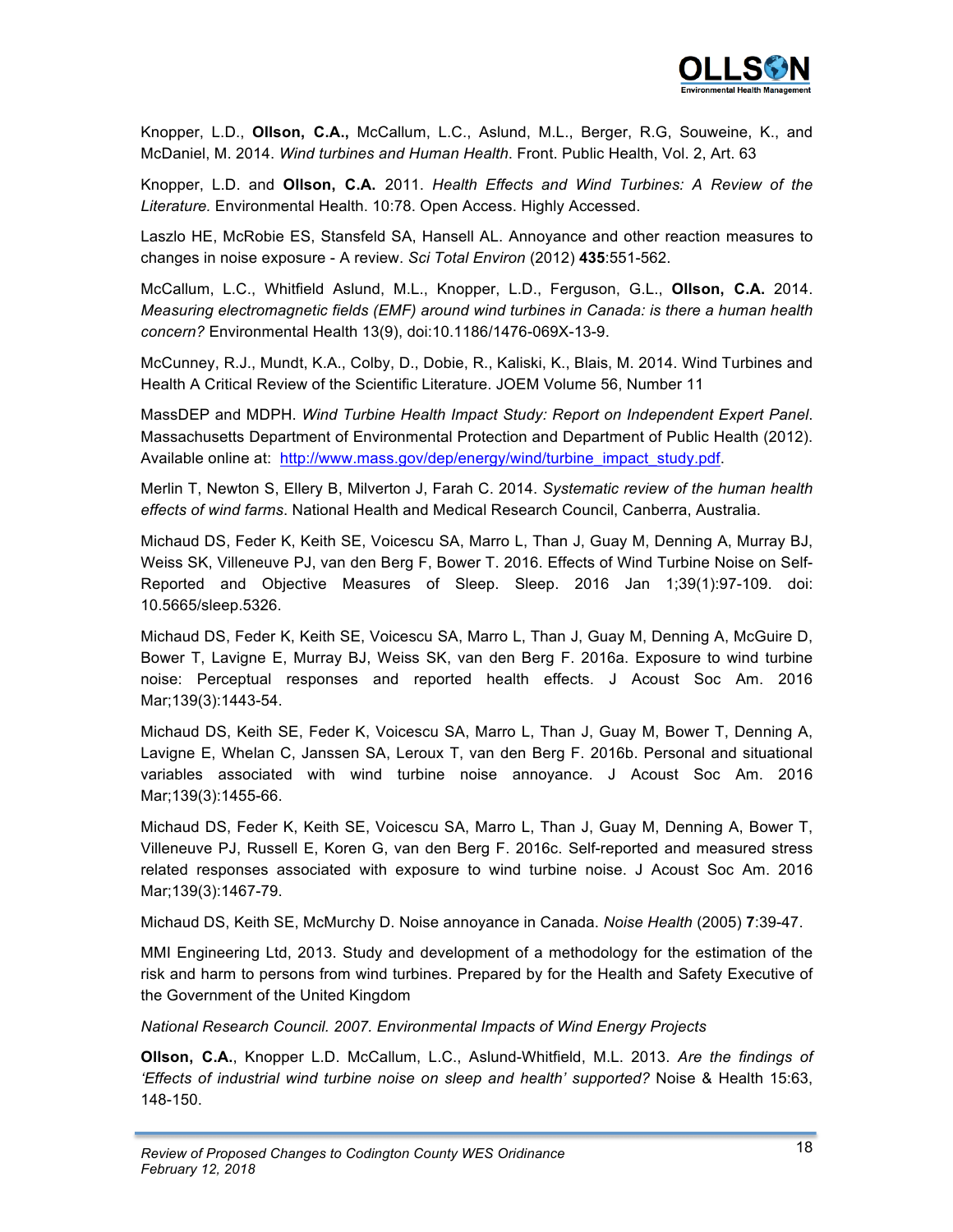

Knopper, L.D., **Ollson, C.A.,** McCallum, L.C., Aslund, M.L., Berger, R.G, Souweine, K., and McDaniel, M. 2014. *Wind turbines and Human Health*. Front. Public Health, Vol. 2, Art. 63

Knopper, L.D. and **Ollson, C.A.** 2011. *Health Effects and Wind Turbines: A Review of the Literature.* Environmental Health. 10:78. Open Access. Highly Accessed.

Laszlo HE, McRobie ES, Stansfeld SA, Hansell AL. Annoyance and other reaction measures to changes in noise exposure - A review. *Sci Total Environ* (2012) **435**:551-562.

McCallum, L.C., Whitfield Aslund, M.L., Knopper, L.D., Ferguson, G.L., **Ollson, C.A.** 2014. *Measuring electromagnetic fields (EMF) around wind turbines in Canada: is there a human health concern?* Environmental Health 13(9), doi:10.1186/1476-069X-13-9.

McCunney, R.J., Mundt, K.A., Colby, D., Dobie, R., Kaliski, K., Blais, M. 2014. Wind Turbines and Health A Critical Review of the Scientific Literature. JOEM Volume 56, Number 11

MassDEP and MDPH. *Wind Turbine Health Impact Study: Report on Independent Expert Panel*. Massachusetts Department of Environmental Protection and Department of Public Health (2012). Available online at: http://www.mass.gov/dep/energy/wind/turbine\_impact\_study.pdf.

Merlin T, Newton S, Ellery B, Milverton J, Farah C. 2014. *Systematic review of the human health effects of wind farms*. National Health and Medical Research Council, Canberra, Australia.

Michaud DS, Feder K, Keith SE, Voicescu SA, Marro L, Than J, Guay M, Denning A, Murray BJ, Weiss SK, Villeneuve PJ, van den Berg F, Bower T. 2016. Effects of Wind Turbine Noise on Self-Reported and Objective Measures of Sleep. Sleep. 2016 Jan 1;39(1):97-109. doi: 10.5665/sleep.5326.

Michaud DS, Feder K, Keith SE, Voicescu SA, Marro L, Than J, Guay M, Denning A, McGuire D, Bower T, Lavigne E, Murray BJ, Weiss SK, van den Berg F. 2016a. Exposure to wind turbine noise: Perceptual responses and reported health effects. J Acoust Soc Am. 2016 Mar;139(3):1443-54.

Michaud DS, Keith SE, Feder K, Voicescu SA, Marro L, Than J, Guay M, Bower T, Denning A, Lavigne E, Whelan C, Janssen SA, Leroux T, van den Berg F. 2016b. Personal and situational variables associated with wind turbine noise annoyance. J Acoust Soc Am. 2016 Mar;139(3):1455-66.

Michaud DS, Feder K, Keith SE, Voicescu SA, Marro L, Than J, Guay M, Denning A, Bower T, Villeneuve PJ, Russell E, Koren G, van den Berg F. 2016c. Self-reported and measured stress related responses associated with exposure to wind turbine noise. J Acoust Soc Am. 2016 Mar;139(3):1467-79.

Michaud DS, Keith SE, McMurchy D. Noise annoyance in Canada. *Noise Health* (2005) **7**:39-47.

MMI Engineering Ltd, 2013. Study and development of a methodology for the estimation of the risk and harm to persons from wind turbines. Prepared by for the Health and Safety Executive of the Government of the United Kingdom

*National Research Council. 2007. Environmental Impacts of Wind Energy Projects*

**Ollson, C.A.**, Knopper L.D. McCallum, L.C., Aslund-Whitfield, M.L. 2013. *Are the findings of 'Effects of industrial wind turbine noise on sleep and health' supported?* Noise & Health 15:63, 148-150.